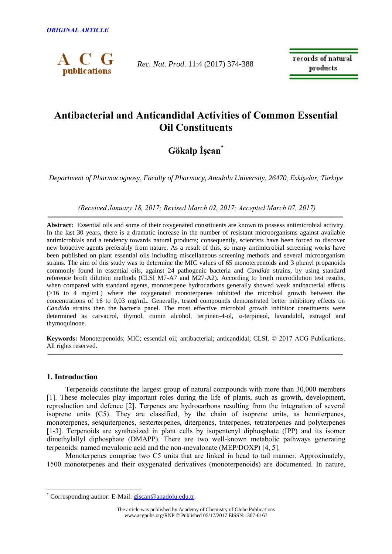

*Rec. Nat. Prod*. 11:4 (2017) 374-388

records of natural products

# **Antibacterial and Anticandidal Activities of Common Essential Oil Constituents**

# **Gökalp İşcan\***

*Department of Pharmacognosy, Faculty of Pharmacy, Anadolu University, 26470, Eskişehir, Türkiye*

*(Received January 18, 2017; Revised March 02, 2017; Accepted March 07, 2017)*

**Abstract:** Essential oils and some of their oxygenated constituents are known to possess antimicrobial activity. In the last 30 years, there is a dramatic increase in the number of resistant microorganisms against available antimicrobials and a tendency towards natural products; consequently, scientists have been forced to discover new bioactive agents preferably from nature. As a result of this, so many antimicrobial screening works have been published on plant essential oils including miscellaneous screening methods and several microorganism strains. The aim of this study was to determine the MIC values of 65 monoterpenoids and 3 phenyl propanoids commonly found in essential oils, against 24 pathogenic bacteria and *Candida* strains, by using standard reference broth dilution methods (CLSI M7-A7 and M27-A2). According to broth microdilution test results, when compared with standard agents, monoterpene hydrocarbons generally showed weak antibacterial effects (>16 to 4 mg/mL) where the oxygenated monoterpenes inhibited the microbial growth between the concentrations of 16 to 0,03 mg/mL. Generally, tested compounds demonstrated better inhibitory effects on *Candida* strains then the bacteria panel. The most effective microbial growth inhibitor constituents were determined as carvacrol, thymol, cumin alcohol, terpinen-4-ol, *α*-terpineol, lavandulol, estragol and thymoquinone.

**Keywords:** Monoterpenoids; MIC; essential oil; antibacterial; anticandidal; CLSI. © 2017 ACG Publications. All rights reserved.

## **1. Introduction**

 $\overline{a}$ 

Terpenoids constitute the largest group of natural compounds with more than 30,000 members [1]. These molecules play important roles during the life of plants, such as growth, development, reproduction and defence [2]. Terpenes are hydrocarbons resulting from the integration of several isoprene units (C5). They are classified, by the chain of isoprene units, as hemiterpenes, monoterpenes, sesquiterpenes, sesterterpenes, diterpenes, triterpenes, tetraterpenes and polyterpenes [1-3]. Terpenoids are synthesized in plant cells by isopentenyl diphosphate (IPP) and its isomer dimethylallyl diphosphate (DMAPP). There are two well-known metabolic pathways generating terpenoids: named mevalonic acid and the non-mevalonate (MEP/DOXP) [4, 5].

Monoterpenes comprise two C5 units that are linked in head to tail manner. Approximately, 1500 monoterpenes and their oxygenated derivatives (monoterpenoids) are documented. In nature,

<sup>\*</sup> Corresponding author: E-Mail: [giscan@anadolu.edu.tr.](mailto:giscan@anadolu.edu.tr)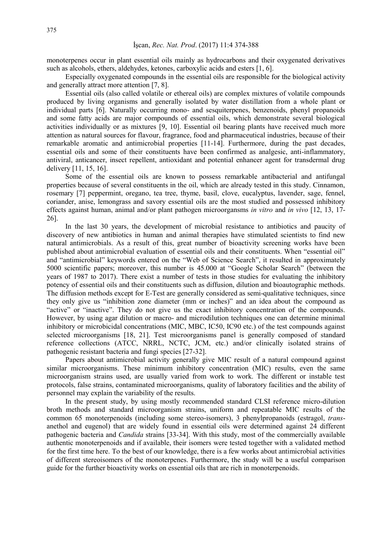monoterpenes occur in plant essential oils mainly as hydrocarbons and their oxygenated derivatives such as alcohols, ethers, aldehydes, ketones, carboxylic acids and esters [1, 6].

Especially oxygenated compounds in the essential oils are responsible for the biological activity and generally attract more attention [7, 8].

Essential oils (also called volatile or ethereal oils) are complex mixtures of volatile compounds produced by living organisms and generally isolated by water distillation from a whole plant or individual parts [6]. Naturally occurring mono- and sesquiterpenes, benzenoids, phenyl propanoids and some fatty acids are major compounds of essential oils, which demonstrate several biological activities individually or as mixtures [9, 10]. Essential oil bearing plants have received much more attention as natural sources for flavour, fragrance, food and pharmaceutical industries, because of their remarkable aromatic and antimicrobial properties [11-14]. Furthermore, during the past decades, essential oils and some of their constituents have been confirmed as analgesic, anti-inflammatory, antiviral, anticancer, insect repellent, antioxidant and potential enhancer agent for transdermal drug delivery [11, 15, 16].

Some of the essential oils are known to possess remarkable antibacterial and antifungal properties because of several constituents in the oil, which are already tested in this study. Cinnamon, rosemary [7] peppermint, oregano, tea tree, thyme, basil, clove, eucalyptus, lavender, sage, fennel, coriander, anise, lemongrass and savory essential oils are the most studied and possessed inhibitory effects against human, animal and/or plant pathogen microorgansms *in vitro* and *in vivo* [12, 13, 17- 26].

In the last 30 years, the development of microbial resistance to antibiotics and paucity of discovery of new antibiotics in human and animal therapies have stimulated scientists to find new natural antimicrobials. As a result of this, great number of bioactivity screening works have been published about antimicrobial evaluation of essential oils and their constituents. When "essential oil" and "antimicrobial" keywords entered on the "Web of Science Search", it resulted in approximately 5000 scientific papers; moreover, this number is 45.000 at "Google Scholar Search" (between the years of 1987 to 2017). There exist a number of tests in those studies for evaluating the inhibitory potency of essential oils and their constituents such as diffusion, dilution and bioautographic methods. The diffusion methods except for E-Test are generally considered as semi-qualitative techniques, since they only give us "inhibition zone diameter (mm or inches)" and an idea about the compound as "active" or "inactive". They do not give us the exact inhibitory concentration of the compounds. However, by using agar dilution or macro- and microdilution techniques one can determine minimal inhibitory or microbicidal concentrations (MIC, MBC, IC50, IC90 etc.) of the test compounds against selected microorganisms [18, 21]. Test microorganisms panel is generally composed of standard reference collections (ATCC, NRRL, NCTC, JCM, etc.) and/or clinically isolated strains of pathogenic resistant bacteria and fungi species [27-32].

Papers about antimicrobial activity generally give MIC result of a natural compound against similar microorganisms. These minimum inhibitory concentration (MIC) results, even the same microorganism strains used, are usually varied from work to work. The different or instable test protocols, false strains, contaminated microorganisms, quality of laboratory facilities and the ability of personnel may explain the variability of the results.

In the present study, by using mostly recommended standard CLSI reference micro-dilution broth methods and standard microorganism strains, uniform and repeatable MIC results of the common 65 monoterpenoids (including some stereo-isomers), 3 phenylpropanoids (estragol, *trans*anethol and eugenol) that are widely found in essential oils were determined against 24 different pathogenic bacteria and *Candida* strains [33-34]. With this study, most of the commercially available authentic monoterpenoids and if available, their isomers were tested together with a validated method for the first time here. To the best of our knowledge, there is a few works about antimicrobial activities of different stereoisomers of the monoterpenes. Furthermore, the study will be a useful comparison guide for the further bioactivity works on essential oils that are rich in monoterpenoids.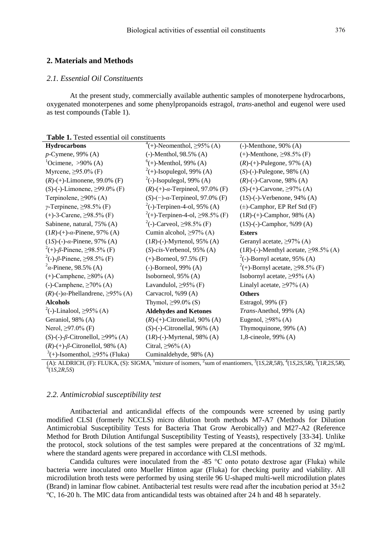### **2. Materials and Methods**

## *2.1. Essential Oil Constituents*

At the present study, commercially available authentic samples of monoterpene hydrocarbons, oxygenated monoterpenes and some phenylpropanoids estragol*, trans-*anethol and eugenol were used as test compounds (Table 1).

| <b>Table 1.</b> Tested essential oil constituents |  |  |  |
|---------------------------------------------------|--|--|--|
|---------------------------------------------------|--|--|--|

| <b>Hydrocarbons</b>                               | <sup>4</sup> (+)-Neomenthol, $\geq$ 95% (A)    | $(-)$ -Menthone, 90% $(A)$                    |
|---------------------------------------------------|------------------------------------------------|-----------------------------------------------|
| $p$ -Cymene, 99% (A)                              | $(-)$ -Menthol, 98.5% (A)                      | $(+)$ -Menthone, $\geq$ 98.5% (F)             |
| $^{1}$ Ocimene, >90% (A)                          | $^{6}(+)$ -Menthol, 99% (A)                    | $(R)$ -(+)-Pulegone, 97% (A)                  |
| Myrcene, $\geq 95.0\%$ (F)                        | $2^{2}(+)$ -Isopulegol, 99% (A)                | $(S)$ -(-)-Pulegone, 98% (A)                  |
| $(R)$ -(+)-Limonene, 99.0% (F)                    | $^2$ (-)-Isopulegol, 99% (A)                   | $(R)$ -(-)-Carvone, 98% (A)                   |
| $(S)$ -(-)-Limonene, $\geq$ 99.0% (F)             | $(R)$ -(+)- $\alpha$ -Terpineol, 97.0% (F)     | $(S)-(+)$ -Carvone, $\geq$ 97% (A)            |
| Terpinolene, $\geq$ 90% (A)                       | $(S)$ - $(-)$ - $\alpha$ -Terpineol, 97.0% (F) | $(1S)$ -(-)-Verbenone, 94% (A)                |
| $\gamma$ -Terpinene, $\geq$ 98.5% (F)             | $^{2}$ (-)-Terpinen-4-ol, 95% (A)              | $(\pm)$ -Camphor, EP Ref Std (F)              |
| $(+)$ -3-Carene, $\geq$ 98.5% (F)                 | $^{2}(+)$ -Terpinen-4-ol, $\geq$ 98.5% (F)     | $(1R)$ -(+)-Camphor, 98% (A)                  |
| Sabinene, natural, 75% (A)                        | <sup>2</sup> (-)-Carveol, $\geq$ 98.5% (F)     | $(1S)$ -(-)-Camphor, %99 (A)                  |
| $(1R)$ -(+)- $\alpha$ -Pinene, 97% (A)            | Cumin alcohol, $\geq$ 97% (A)                  | <b>Esters</b>                                 |
| $(1S)$ -(-)- $\alpha$ -Pinene, 97% (A)            | $(1R)$ -(-)-Myrtenol, 95% (A)                  | Geranyl acetate, $\geq$ 97% (A)               |
| <sup>2</sup> (+)-β-Pinene, ≥98.5% (F)             | $(S)$ -cis-Verbenol, 95% $(A)$                 | $(1R)$ -(-)-Menthyl acetate, $\geq$ 98.5% (A) |
| <sup>2</sup> (-)-β-Pinene, $\geq$ 98.5% (F)       | $(+)$ -Borneol, 97.5% (F)                      | $2$ (-)-Bornyl acetate, 95% (A)               |
| $2\alpha$ -Pinene, 98.5% (A)                      | $(-)$ -Borneol, 99% $(A)$                      | $^{2}(+)$ -Bornyl acetate, $\geq$ 98.5% (F)   |
| $(+)$ -Camphene, $\geq 80\%$ (A)                  | Isoborneol, 95% (A)                            | Isobornyl acetate, $\geq$ 95% (A)             |
| (-)-Camphene, $\geq$ 70% (A)                      | Lavandulol, $\geq$ 95% (F)                     | Linalyl acetate, $\geq$ 97% (A)               |
| $(R)$ -(-) $\alpha$ -Phellandrene, $\geq$ 95% (A) | Carvacrol, %99 (A)                             | <b>Others</b>                                 |
| <b>Alcohols</b>                                   | Thymol, $\geq$ 99.0% (S)                       | Estragol, $99\%$ (F)                          |
| <sup>2</sup> (-)-Linalool, $\geq$ 95% (A)         | <b>Aldehydes and Ketones</b>                   | Trans-Anethol, 99% (A)                        |
| Geraniol, 98% (A)                                 | $(R)$ -(+)-Citronellal, 90% (A)                | Eugenol, $\geq$ 98% (A)                       |
| Nerol, $\geq$ 97.0% (F)                           | $(S)$ - $(-)$ -Citronellal, 96% $(A)$          | Thymoquinone, 99% (A)                         |
| $(S)$ -(-)- $\beta$ -Citronellol, $\geq$ 99% (A)  | $(1R)$ -(-)-Myrtenal, 98% (A)                  | 1,8-cineole, 99% (A)                          |
| $(R)$ -(+)- $\beta$ -Citronellol, 98% (A)         | Citral, $\geq$ 96% (A)                         |                                               |
| $f^{(+)}$ -Isomenthol, $\geq$ 95% (Fluka)         | Cuminaldehyde, 98% (A)                         |                                               |

(A): ALDRICH, (F): FLUKA, (S): SIGMA,  $^{1}$ mixture of isomers,  $^{2}$ sum of enantiomers,  $^{3}(1S, 2R, 5R)$ ,  $^{4}(1S, 2S, 5R)$ ,  $^{5}(1R, 2S, 5R)$ , 6 (1*S,*2*R,*5*S*)

### *2.2. Antimicrobial susceptibility test*

Antibacterial and anticandidal effects of the compounds were screened by using partly modified CLSI (formerly NCCLS) micro dilution broth methods M7-A7 (Methods for Dilution Antimicrobial Susceptibility Tests for Bacteria That Grow Aerobically) and M27-A2 (Reference Method for Broth Dilution Antifungal Susceptibility Testing of Yeasts), respectively [33-34]. Unlike the protocol, stock solutions of the test samples were prepared at the concentrations of 32 mg/mL where the standard agents were prepared in accordance with CLSI methods.

Candida cultures were inoculated from the -85 °C onto potato dextrose agar (Fluka) while bacteria were inoculated onto Mueller Hinton agar (Fluka) for checking purity and viability. All microdilution broth tests were performed by using sterile 96 U-shaped multi-well microdilution plates (Brand) in laminar flow cabinet. Antibacterial test results were read after the incubation period at  $35\pm2$ ºC, 16-20 h. The MIC data from anticandidal tests was obtained after 24 h and 48 h separately.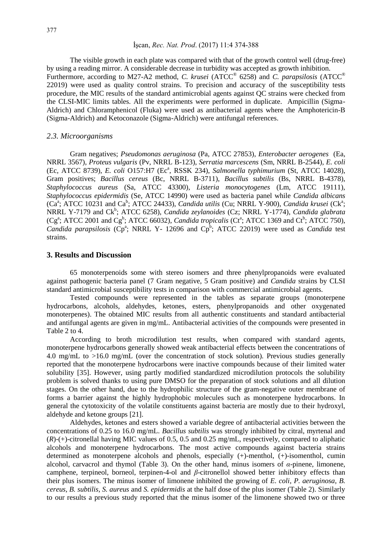#### İşcan, *Rec. Nat. Prod*. (2017) 11:4 374-388

The visible growth in each plate was compared with that of the growth control well (drug-free) by using a reading mirror. A considerable decrease in turbidity was accepted as growth inhibition. Furthermore, according to M27-A2 method, *C. krusei* (ATCC® 6258) and *C. parapsilosis* (ATCC® 22019) were used as quality control strains. To precision and accuracy of the susceptibility tests procedure, the MIC results of the standard antimicrobial agents against QC strains were checked from the CLSI-MIC limits tables. All the experiments were performed in duplicate. Ampicillin (Sigma-Aldrich) and Chloramphenicol (Fluka) were used as antibacterial agents where the Amphotericin-B (Sigma-Aldrich) and Ketoconazole (Sigma-Aldrich) were antifungal references.

#### *2.3. Microorganisms*

Gram negatives; *Pseudomonas aeruginosa* (Pa, ATCC 27853), *Enterobacter aerogenes* (Ea, NRRL 3567), *Proteus vulgaris* (Pv, NRRL B-123), *Serratia marcescens* (Sm, NRRL B-2544), *E. coli* (Ec, ATCC 8739), *E. coli* O157:H7 (Ec<sup>a</sup>, RSSK 234), *Salmonella typhimurium* (St, ATCC 14028), Gram positives; *Bacillus cereus* (Bc, NRRL B-3711), *Bacillus subtilis* (Bs, NRRL B-4378), *Staphylococcus aureus* (Sa, ATCC 43300), *Listeria monocytogenes* (Lm, ATCC 19111), *Staphylococcus epidermidis* (Se, ATCC 14990) were used as bacteria panel while *Candida albicans*  $(Ca^a; ATCC 10231$  and  $Ca^b$ ; ATCC 24433), *Candida utilis* (Cu; NRRL Y-900), *Candida krusei* (Ck<sup>a</sup>; NRRL Y-7179 and Ck<sup>b</sup>; ATCC 6258), *Candida zeylanoides* (Cz; NRRL Y-1774), *Candida glabrata*  $(Cg^a; ATCC 2001$  and  $Cg^b$ ; ATCC 66032), *Candida tropicalis*  $(Ct^a; ATCC 1369$  and  $Ct^b; ATCC 750)$ , *Candida parapsilosis* ( $Cp^a$ ; NRRL Y- 12696 and  $Cp^b$ ; ATCC 22019) were used as *Candida* test strains.

## **3. Results and Discussion**

65 monoterpenoids some with stereo isomers and three phenylpropanoids were evaluated against pathogenic bacteria panel (7 Gram negative, 5 Gram positive) and *Candida* strains by CLSI standard antimicrobial susceptibility tests in comparison with commercial antimicrobial agents.

Tested compounds were represented in the tables as separate groups (monoterpene hydrocarbons, alcohols, aldehydes, ketones, esters, phenylpropanoids and other oxygenated monoterpenes). The obtained MIC results from all authentic constituents and standard antibacterial and antifungal agents are given in mg/mL. Antibacterial activities of the compounds were presented in Table 2 to 4.

According to broth microdilution test results, when compared with standard agents, monoterpene hydrocarbons generally showed weak antibacterial effects between the concentrations of 4.0 mg/mL to >16.0 mg/mL (over the concentration of stock solution). Previous studies generally reported that the monoterpene hydrocarbons were inactive compounds because of their limited water solubility [35]. However, using partly modified standardized microdilution protocols the solubility problem is solved thanks to using pure DMSO for the preparation of stock solutions and all dilution stages. On the other hand, due to the hydrophilic structure of the gram-negative outer membrane of forms a barrier against the highly hydrophobic molecules such as monoterpene hydrocarbons. In general the cytotoxicity of the volatile constituents against bacteria are mostly due to their hydroxyl, aldehyde and ketone groups [21].

Aldehydes, ketones and esters showed a variable degree of antibacterial activities between the concentrations of 0.25 to 16.0 mg/mL. *Bacillus subtilis* was strongly inhibited by citral, myrtenal and (*R*)-(+)-citronellal having MIC values of 0.5, 0.5 and 0.25 mg/mL, respectively, compared to aliphatic alcohols and monoterpene hydrocarbons. The most active compounds against bacteria strains determined as monoterpene alcohols and phenols, especially (+)-menthol, (+)-isomenthol, cumin alcohol, carvacrol and thymol (Table 3). On the other hand, minus isomers of *α*-pinene, limonene, camphene, terpineol, borneol, terpinen-4-ol and *β*-citronellol showed better inhibitory effects than their plus isomers. The minus isomer of limonene inhibited the growing of *E. coli*, *P. aeruginosa*, *B. cereus, B. subtilis, S. aureus* and *S. epidermidis* at the half dose of the plus isomer (Table 2). Similarly to our results a previous study reported that the minus isomer of the limonene showed two or three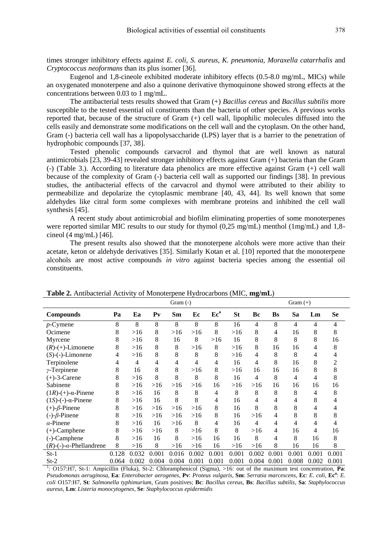times stronger inhibitory effects against *E. coli, S. aureus, K. pneumonia, Moraxella catarrhalis* and *Cryptococcus neoformans* than its plus isomer [36].

Eugenol and 1,8-cineole exhibited moderate inhibitory effects (0.5-8.0 mg/mL, MICs) while an oxygenated monoterpene and also a quinone derivative thymoquinone showed strong effects at the concentrations between 0.03 to 1 mg/mL.

The antibacterial tests results showed that Gram (+) *Bacillus cereus* and *Bacillus subtilis* more susceptible to the tested essential oil constituents than the bacteria of other species. A previous works reported that, because of the structure of Gram (+) cell wall, lipophilic molecules diffused into the cells easily and demonstrate some modifications on the cell wall and the cytoplasm. On the other hand, Gram (-) bacteria cell wall has a lipopolysaccharide (LPS) layer that is a barrier to the penetration of hydrophobic compounds [37, 38].

Tested phenolic compounds carvacrol and thymol that are well known as natural antimicrobials [23, 39-43] revealed stronger inhibitory effects against Gram (+) bacteria than the Gram (-) (Table 3.). According to literature data phenolics are more effective against Gram (+) cell wall because of the complexity of Gram (-) bacteria cell wall as supported our findings [38]. In previous studies, the antibacterial effects of the carvacrol and thymol were attributed to their ability to permeabilize and depolarize the cytoplasmic membrane [40, 43, 44]. Its well known that some aldehydes like citral form some complexes with membrane proteins and inhibited the cell wall synthesis [45].

A recent study about antimicrobial and biofilm eliminating properties of some monoterpenes were reported similar MIC results to our study for thymol (0,25 mg/mL) menthol (1mg/mL) and 1,8cineol (4 mg/mL) [46].

The present results also showed that the monoterpene alcohols were more active than their acetate, keton or aldehyde derivatives [35]. Similarly Kotan et al. [10] reported that the monoterpene alcohols are most active compounds *in vitro* against bacteria species among the essential oil constituents.

|                                   | Gram $(+)$ |                |         |       |       |                 |           |       |           |                |       |           |
|-----------------------------------|------------|----------------|---------|-------|-------|-----------------|-----------|-------|-----------|----------------|-------|-----------|
| <b>Compounds</b>                  | Pa         | Ea             | $P_{V}$ | Sm    | Ec    | Ec <sup>a</sup> | <b>St</b> | Bc    | <b>Bs</b> | Sa             | Lm    | <b>Se</b> |
| $p$ -Cymene                       | 8          | 8              | 8       | 8     | 8     | 8               | 16        | 4     | 8         | $\overline{4}$ | 4     | 4         |
| Ocimene                           | 8          | >16            | 8       | >16   | >16   | 8               | >16       | 8     | 4         | 16             | 8     | 8         |
| Myrcene                           | 8          | >16            | 8       | 16    | 8     | >16             | 16        | 8     | 8         | 8              | 8     | 16        |
| $(R)-(+)$ -Limonene               | 8          | >16            | 8       | 8     | >16   | 8               | >16       | 8     | 16        | 16             | 4     | 8         |
| $(S)$ - $(-)$ -Limonene           | 4          | >16            | 8       | 8     | 8     | 8               | >16       | 4     | 8         | 8              | 4     |           |
| Terpinolene                       | 4          | $\overline{4}$ | 4       | 4     | 4     | 4               | 16        | 4     | 8         | 16             | 8     |           |
| $\gamma$ -Terpinene               | 8          | 16             | 8       | 8     | >16   | 8               | >16       | 16    | 16        | 16             | 8     | 8         |
| $(+)$ -3-Carene                   | 8          | >16            | 8       | 8     | 8     | 8               | 16        | 4     | 8         | 4              | 4     | 8         |
| Sabinene                          | 8          | >16            | >16     | >16   | >16   | 16              | >16       | >16   | 16        | 16             | 16    | 16        |
| $(1R)-(+)$ - $\alpha$ -Pinene     | 8          | >16            | 16      | 8     | 8     | 4               | 8         | 8     | 8         | 8              | 4     | 8         |
| $(1S)$ - $(-)$ - $\alpha$ -Pinene | 8          | >16            | 16      | 8     | 8     | 4               | 16        | 4     | 4         | 4              | 8     |           |
| $(+)$ - $\beta$ -Pinene           | 8          | >16            | >16     | >16   | >16   | 8               | 16        | 8     | 8         | 8              | 4     |           |
| $(-)-\beta$ -Pinene               | 8          | >16            | >16     | >16   | >16   | 8               | 16        | >16   | 4         | 8              | 8     | 8         |
| $\alpha$ -Pinene                  | 8          | >16            | 16      | >16   | 8     | 4               | 16        | 4     | 4         | 4              | 4     | 4         |
| $(+)$ -Camphene                   | 8          | >16            | $>16$   | 8     | >16   | 8               | 8         | >16   | 4         | 16             | 4     | 16        |
| (-)-Camphene                      | 8          | >16            | 16      | 8     | >16   | 16              | 16        | 8     | 4         | 8              | 16    | 8         |
| $(R)-(-)-\alpha$ -Phellandrene    | 8          | >16            | 8       | >16   | >16   | 16              | >16       | $>16$ | 8         | 16             | 16    | 8         |
| $St-1$                            | 0.128      | 0.032          | 0.001   | 0.016 | 0.002 | 0.001           | 0.001     | 0.002 | 0.001     | 0.001          | 0.001 | 0.001     |
| $St-2$                            | 0.064      | 0.002          | 0.004   | 0.004 | 0.001 | 0.001           | 0.001     | 0.004 | 0.001     | 0.008          | 0.002 | 0.001     |

**Table 2.** Antibacterial Activity of Monoterpene Hydrocarbons (MIC, **mg/mL**)

1 : O157:H7, St-1: Ampicillin (Fluka), St-2: Chloramphenicol (Sigma), >16: out of the maximum test concentration, **Pa**: *Pseudomonas aeruginosa*, **Ea**: *Enterobacter aerogenes*, **Pv**: *Proteus vulgaris*, **Sm**: *Serratia marcescens*, **Ec**: *E. coli*, **Ec<sup>a</sup>** : *E. coli* O157:H7, **St**: *Salmonella typhimurium*, Gram positives; **Bc**: *Bacillus cereus*, **Bs**: *Bacillus subtilis*, **Sa**: *Staphylococcus aureus*, **Lm**: *Listeria monocytogenes*, **Se**: *Staphylococcus epidermidis*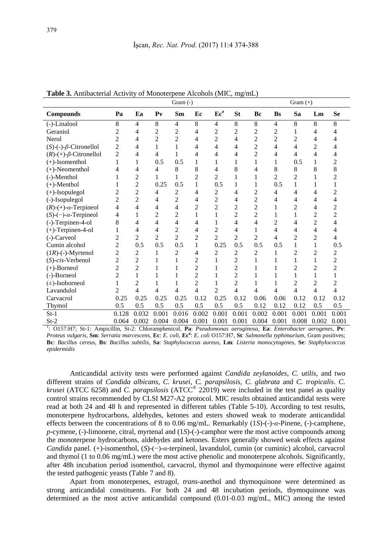|                                  | Gram (-)<br>Gram $(+)$ |                |                |                |                |                 |                |                |                |                |                |                |
|----------------------------------|------------------------|----------------|----------------|----------------|----------------|-----------------|----------------|----------------|----------------|----------------|----------------|----------------|
| <b>Compounds</b>                 | Pa                     | Ea             | P <sub>V</sub> | Sm             | Ec             | Ec <sup>a</sup> | <b>St</b>      | Bc             | <b>Bs</b>      | Sa             | Lm             | <b>Se</b>      |
| (-)-Linalool                     | 8                      | $\overline{4}$ | 8              | 4              | 8              | 4               | 8              | 8              | $\overline{4}$ | 8              | 8              | 8              |
| Geraniol                         | $\overline{c}$         | 4              | $\overline{2}$ | $\overline{2}$ | 4              | $\overline{2}$  | 2              | $\overline{2}$ | $\overline{c}$ | 1              | 4              | 4              |
| Nerol                            | $\overline{2}$         | 4              | $\overline{2}$ | $\overline{c}$ | 4              | $\overline{2}$  | 4              | $\overline{c}$ | $\overline{c}$ | $\overline{c}$ | 4              | 4              |
| $(S)-(-)-\beta$ -Citronellol     | 2                      | 4              | 1              | 1              | 4              | 4               | 4              | $\overline{2}$ | 4              | 4              | $\overline{c}$ | 4              |
| $(R)-(+)$ - $\beta$ -Citronellol | $\overline{2}$         | 4              | 4              | 1              | 4              | 4               | 4              | $\overline{2}$ | 4              | 4              | 4              | 4              |
| $(+)$ -Isomenthol                | 1                      | 1              | 0.5            | 0.5            | 1              | 1               | 1              | 1              | 1              | 0.5            | 1              | 2              |
| $(+)$ -Neomenthol                | 4                      | 4              | 4              | 8              | 8              | 4               | 8              | 4              | 8              | 8              | 8              | 8              |
| (-)-Menthol                      |                        | $\overline{c}$ |                | 1              | $\overline{2}$ | $\overline{2}$  |                |                | 2              | $\overline{2}$ |                | 2              |
| $(+)$ -Menthol                   |                        | $\overline{c}$ | 0.25           | 0.5            | 1              | 0.5             | 1              | 1              | 0.5            | 1              |                |                |
| $(+)$ -Isopulegol                | $\overline{c}$         | $\overline{c}$ | 4              | 2              | 4              | 2               | 4              | $\overline{c}$ | 4              | 4              | 4              | $\overline{c}$ |
| (-)-Isopulegol                   | $\overline{2}$         | $\overline{c}$ | 4              | $\overline{c}$ | 4              | $\overline{2}$  | 4              | $\overline{2}$ | 4              | 4              | 4              | 4              |
| $(R)-(+)$ - $\alpha$ -Terpineol  | 4                      | 4              | 4              | 4              | $\overline{2}$ | $\overline{2}$  | $\overline{2}$ | $\overline{2}$ |                | 2              | 4              | $\overline{2}$ |
| $(S)-(-)$ - $\alpha$ -Terpineol  | 4                      | 1              | $\overline{2}$ | 2              | 1              | 1               | $\overline{c}$ | $\overline{c}$ | 1              | 1              | $\overline{c}$ | $\overline{c}$ |
| (-)-Terpinen-4-ol                | 8                      | 4              | 4              | 4              | 4              | 1               | 4              | 4              | 2              | 4              | $\overline{c}$ | 4              |
| $(+)$ -Terpinen-4-ol             | 1                      | $\overline{4}$ | 4              | $\overline{c}$ | 4              | $\overline{c}$  | 4              | 1              | 4              | 4              | 4              | 4              |
| $(-)$ -Carveol                   | 2                      | 2              | $\overline{2}$ | 2              | $\overline{2}$ | $\overline{2}$  | 2              | $\overline{c}$ | 4              | 2              | 2              | 4              |
| Cumin alcohol                    | $\overline{c}$         | 0.5            | 0.5            | 0.5            | 1              | 0.25            | 0.5            | 0.5            | 0.5            | 1              | 1              | 0.5            |
| $(1R)$ -(-)-Myrtenol             | $\overline{c}$         | 2              | 1              | 2              | 4              | 2               | 2              | 2              | 1              | $\overline{2}$ | $\overline{2}$ | 2              |
| $(S)$ -cis-Verbenol              | $\overline{2}$         | $\overline{c}$ | 1              |                | $\sqrt{2}$     |                 | $\overline{2}$ |                |                |                | 1              | $\overline{2}$ |
| $(+)$ -Borneol                   | $\overline{2}$         | $\overline{c}$ |                |                | $\overline{c}$ |                 | $\overline{c}$ |                |                | 2              | $\overline{2}$ | $\overline{c}$ |
| (-)-Borneol                      | $\overline{2}$         | 1              | 1              |                | $\overline{2}$ |                 | $\overline{2}$ | 1              |                | 1              | 1              |                |
| $(\pm)$ -Isoborneol              | 1                      | $\overline{2}$ | 1              |                | $\overline{2}$ |                 | $\overline{2}$ |                |                | $\overline{2}$ | $\overline{2}$ | $\overline{2}$ |
| Lavandulol                       | 2                      | 4              | 4              | 4              | 4              | $\overline{c}$  | 4              | 4              | 4              | 4              | 4              | 4              |
| Carvacrol                        | 0.25                   | 0.25           | 0.25           | 0.25           | 0.12           | 0.25            | 0.12           | 0.06           | 0.06           | 0.12           | 0.12           | 0.12           |
| Thymol                           | 0.5                    | 0.5            | 0.5            | 0.5            | 0.5            | 0.5             | 0.5            | 0.12           | 0.12           | 0.12           | 0.5            | 0.5            |
| $St-1$                           | 0.128                  | 0.032          | 0.001          | 0.016          | 0.002          | 0.001           | 0.001          | 0.002          | 0.001          | 0.001          | 0.001          | 0.001          |
| $St_2$                           | 0.064                  | 0.002          | 0.004          | 0.004          | 0.001          | 0.001           | 0.001          | 0.004          | 0.001          | 0.008          | 0.002          | 0.001          |

**Table 3.** Antibacterial Activity of Monoterpene Alcohols (MIC, mg/mL)

St-2 0.064 0.002 0.004 0.004 0.001 0.001 0.001 0.001 0.001 0.008 0.002 0.001<br><sup>1</sup>: O157:H7; St-1: Ampicillin, St-2: Chloramphenicol, **Pa**: *Pseudomonas aeruginosa*, **Ea**: *Enterobacter aerogenes*, **Pv**: *Proteus vulgaris*, **Sm**: *Serratia marcescens*, **Ec**: *E. coli*, **Ec<sup>a</sup>** : *E. coli* O157:H7, **St**: *Salmonella typhimurium*, Gram positives; **Bc**: *Bacillus cereus*, **Bs**: *Bacillus subtilis*, **Sa**: *Staphylococcus aureus*, **Lm**: *Listeria monocytogenes*, **Se**: *Staphylococcus epidermidis*

Anticandidal activity tests were performed against *Candida zeylanoides*, *C. utilis*, and two different strains of *Candida albicans*, *C. krusei*, *C. parapsilosis*, *C. glabrata* and *C. tropicalis*. *C. krusei* (ATCC 6258) and *C. parapsilosis* (ATCC® 22019) were included in the test panel as quality control strains recommended by CLSI M27-A2 protocol. MIC results obtained anticandidal tests were read at both 24 and 48 h and represented in different tables (Table 5-10). According to test results, monoterpene hydrocarbons, aldehydes, ketones and esters showed weak to moderate anticandidal effects between the concentrations of 8 to 0.06 mg/mL. Remarkably (1*S*)-(-)-*α*-Pinene, (-)-camphene, *p*-cymene, (-)-limonene, citral, myrtenal and (1*S*)-(-)-camphor were the most active compounds among the monoterpene hydrocarbons, aldehydes and ketones. Esters generally showed weak effects against *Candida* panel. (+)-isomenthol, (*S*)-(−)-*α*-terpineol, lavandulol, cumin (or cuminic) alcohol, carvacrol and thymol (1 to 0.06 mg/mL) were the most active phenolic and monoterpene alcohols. Significantly, after 48h incubation period isomenthol, carvacrol, thymol and thymoquinone were effective against the tested pathogenic yeasts (Table 7 and 8).

Apart from monoterpenes, estragol, *trans*-anethol and thymoquinone were determined as strong anticandidal constituents. For both 24 and 48 incubation periods, thymoquinone was determined as the most active anticandidal compound (0.01-0.03 mg/mL, MIC) among the tested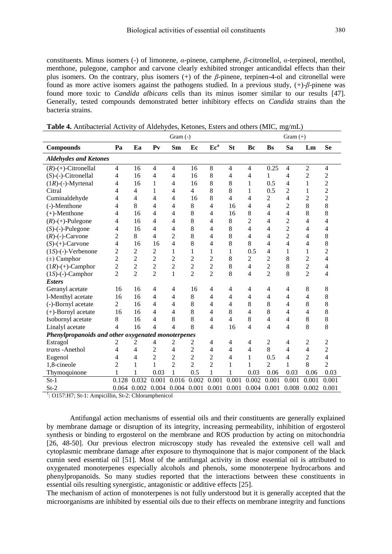constituents. Minus isomers (-) of limonene, *α*-pinene, camphene, *β*-citronellol, *α*-terpineol, menthol, menthone, pulegone, camphor and carvone clearly exhibited stronger anticandidal effects than their plus isomers. On the contrary, plus isomers  $(+)$  of the *β*-pinene, terpinen-4-ol and citronellal were found as more active isomers against the pathogens studied. In a previous study, (+)-*β*-pinene was found more toxic to *Candida albicans* cells than its minus isomer similar to our results [47]. Generally, tested compounds demonstrated better inhibitory effects on *Candida* strains than the bacteria strains.

|                                                    |                |                |                | Gram $(-)$     |                |                 | Gram $(+)$     |                |                |                |                |                |  |
|----------------------------------------------------|----------------|----------------|----------------|----------------|----------------|-----------------|----------------|----------------|----------------|----------------|----------------|----------------|--|
| <b>Compounds</b>                                   | Pa             | Ea             | P <sub>V</sub> | Sm             | Ec             | Ec <sup>a</sup> | <b>St</b>      | Bc             | <b>Bs</b>      | Sa             | Lm             | <b>Se</b>      |  |
| <b>Aldehydes and Ketones</b>                       |                |                |                |                |                |                 |                |                |                |                |                |                |  |
| $(R)-(+)$ -Citronellal                             | $\overline{4}$ | 16             | 4              | 4              | 16             | 8               | 4              | 4              | 0.25           | 4              | $\overline{c}$ | 4              |  |
| $(S)$ -(-)-Citronellal                             | 4              | 16             | $\overline{4}$ | 4              | 16             | 8               | 4              | 4              | 1              | 4              | $\overline{c}$ | $\overline{c}$ |  |
| $(1R)$ -(-)-Myrtenal                               | 4              | 16             | $\mathbf{1}$   | 4              | 16             | 8               | 8              | $\mathbf{1}$   | 0.5            | 4              | 1              | $\overline{c}$ |  |
| Citral                                             | 4              | 4              | 1              | 4              | $\overline{4}$ | 8               | 8              | 1              | 0.5            | 2              | 1              | $\overline{2}$ |  |
| Cuminaldehyde                                      | 4              | 4              | 4              | 4              | 16             | 8               | $\overline{4}$ | 4              | $\overline{c}$ | 4              | $\overline{c}$ | $\overline{c}$ |  |
| (-)-Menthone                                       | 4              | 8              | 4              | 4              | 8              | 4               | 16             | 4              | 4              | $\overline{c}$ | 8              | 8              |  |
| $(+)$ -Menthone                                    | 4              | 16             | 4              | 4              | 8              | 4               | 16             | 8              | $\overline{4}$ | 4              | 8              | 8              |  |
| $(R)-(+)$ -Pulegone                                | 4              | 16             | 4              | 4              | 8              | 4               | 8              | $\overline{c}$ | $\overline{4}$ | $\overline{c}$ | 4              | 4              |  |
| $(S)$ - $(-)$ -Pulegone                            | 4              | 16             | 4              | 4              | 8              | 4               | 8              | 4              | $\overline{4}$ | $\overline{c}$ | 4              | 4              |  |
| $(R)$ -(-)-Carvone                                 | $\overline{2}$ | 8              | 4              | $\overline{c}$ | 8              | 4               | 8              | 4              | 4              | $\overline{2}$ | 4              | 8              |  |
| $(S)-(+)$ -Carvone                                 | 4              | 16             | 16             | 4              | 8              | 4               | 8              | 8              | $\overline{4}$ | 4              | $\overline{4}$ | 8              |  |
| $(1S)$ -(-)-Verbenone                              | $\overline{c}$ | $\overline{c}$ | $\overline{c}$ | 1              | $\mathbf{1}$   | 1               | 1              | 0.5            | $\overline{4}$ | 1              | 1              | $\overline{c}$ |  |
| $(\pm)$ Camphor                                    | $\overline{2}$ | $\overline{c}$ | $\overline{c}$ | 2              | $\overline{c}$ | $\overline{c}$  | 8              | $\overline{c}$ | 2              | 8              | $\overline{c}$ | 4              |  |
| $(1R)-(+)$ -Camphor                                | $\overline{c}$ | $\overline{c}$ | $\overline{c}$ | $\overline{c}$ | $\overline{c}$ | $\overline{c}$  | 8              | $\overline{4}$ | $\overline{c}$ | 8              | $\overline{c}$ | $\overline{4}$ |  |
| $(1S)$ -(-)-Camphor                                | $\overline{2}$ | $\overline{2}$ | $\overline{2}$ | $\mathbf{1}$   | $\overline{2}$ | $\overline{2}$  | 8              | 4              | $\overline{2}$ | 8              | $\overline{2}$ | 4              |  |
| <b>Esters</b>                                      |                |                |                |                |                |                 |                |                |                |                |                |                |  |
| Geranyl acetate                                    | 16             | 16             | 4              | 4              | 16             | 4               | 4              | 4              | $\overline{4}$ | 4              | 8              | 8              |  |
| l-Menthyl acetate                                  | 16             | 16             | 4              | 4              | 8              | 4               | 4              | 4              | 4              | 4              | 4              | 8              |  |
| (-)-Bornyl acetate                                 | 2              | 16             | 4              | 4              | 8              | 4               | 4              | 8              | 8              | 4              | 8              | 8              |  |
| $(+)$ -Bornyl acetate                              | 16             | 16             | 4              | 4              | 8              | 4               | 8              | $\overline{4}$ | 8              | 4              | 4              | 8              |  |
| Isobornyl acetate                                  | 8              | 16             | 4              | 8              | 8              | 4               | $\overline{4}$ | 8              | 4              | 4              | 8              | 8              |  |
| Linalyl acetate                                    | 4              | 16             | 4              | 4              | 8              | 4               | 16             | $\overline{4}$ | 4              | 4              | 8              | 8              |  |
| Phenylpropanoids and other oxygenated monoterpenes |                |                |                |                |                |                 |                |                |                |                |                |                |  |
| Estragol                                           | 2              | 2              | 4              | 2              | 2              | 4               | 4              | 4              | $\overline{c}$ | 4              | $\overline{c}$ | $\overline{c}$ |  |
| trans-Anethol                                      | 4              | 4              | 2              | 4              | $\overline{c}$ | 4               | 4              | 4              | 8              | 4              | 4              | $\overline{c}$ |  |
| Eugenol                                            | 4              | 4              | $\overline{2}$ | $\overline{2}$ | $\overline{2}$ | $\overline{2}$  | 4              | $\mathbf{1}$   | 0.5            | 4              | $\overline{2}$ | 4              |  |
| 1,8-cineole                                        | $\overline{2}$ | 1              | 1              | $\overline{2}$ | $\overline{2}$ | $\overline{c}$  | 1              | 1              | $\overline{c}$ | 1              | 8              | $\overline{2}$ |  |
| Thymoquinone                                       | 1              | 1              | 0.03           | $\mathbf{1}$   | 0.5            | 1               | 1              | 0.03           | 0.06           | 0.03           | 0.06           | 0.03           |  |
| $St-1$                                             | 0.128          | 0.032          | 0.001          | 0.016          | 0.002          | 0.001           | 0.001          | 0.002          | 0.001          | 0.001          | 0.001          | 0.001          |  |
| $St-2$                                             | 0.064 0.002    |                | 0.004          | 0.004          | 0.001          | 0.001           | 0.001          | 0.004          | 0.001          | 0.008          | 0.002          | 0.001          |  |

**Table 4.** Antibacterial Activity of Aldehydes, Ketones, Esters and others (MIC, mg/mL)

<sup>1</sup>: O157:H7; St-1: Ampicillin, St-2: Chloramphenicol

Antifungal action mechanisms of essential oils and their constituents are generally explained by membrane damage or disruption of its integrity, increasing permeability, inhibition of ergosterol synthesis or binding to ergosterol on the membrane and ROS production by acting on mitochondria [26, 48-50]. Our previous electron microscopy study has revealed the extensive cell wall and cytoplasmic membrane damage after exposure to thymoquinone that is major component of the black cumin seed essential oil [51]. Most of the antifungal activity in those essential oil is attributed to oxygenated monoterpenes especially alcohols and phenols, some monoterpene hydrocarbons and phenylpropanoids. So many studies reported that the interactions between these constituents in essential oils resulting synergistic, antagonistic or additive effects [25].

The mechanism of action of monoterpenes is not fully understood but it is generally accepted that the microorganisms are inhibited by essential oils due to their effects on membrane integrity and functions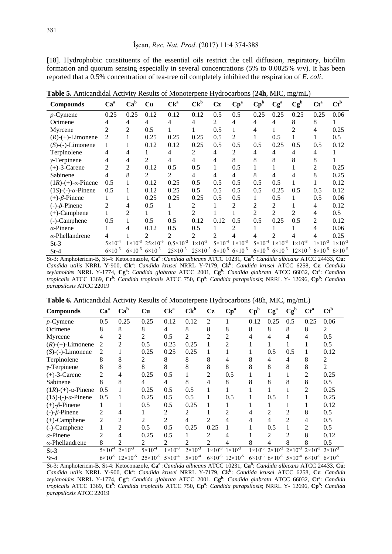[18]. Hydrophobic constituents of the essential oils restrict the cell diffusion, respiratory, biofilm formation and quorum sensing especially in several concentrations (5% to 0.0025% v/v). It has been reported that a 0.5% concentration of tea-tree oil completely inhibited the respiration of *E. coli*.

| <b>Compounds</b>                  | Ca <sup>a</sup>    | Ca <sup>b</sup>    | <b>Cu</b>           | $Ck^a$              | $Ck^b$                                                  | Cz                 | $\mathbf{Cp}^a$    | $\mathbf{Cp}^{\mathrm{b}}$ | Cg <sup>a</sup>                       | $Cg^b$                               | $Ct^a$             | $Ct^b$             |
|-----------------------------------|--------------------|--------------------|---------------------|---------------------|---------------------------------------------------------|--------------------|--------------------|----------------------------|---------------------------------------|--------------------------------------|--------------------|--------------------|
| $p$ -Cymene                       | 0.25               | 0.25               | 0.12                | 0.12                | 0.12                                                    | 0.5                | 0.5                | 0.25                       | 0.25                                  | 0.25                                 | 0.25               | 0.06               |
| Ocimene                           | 4                  | 4                  | 4                   | 4                   | 4                                                       | 2                  | 4                  | 4                          | 4                                     | 8                                    | 8                  |                    |
| Myrcene                           | 2                  | $\overline{2}$     | 0.5                 |                     |                                                         | 0.5                |                    | 4                          |                                       | $\mathfrak{D}$                       | 4                  | 0.25               |
| $(R)-(+)$ -Limonene               | $\mathfrak{D}$     |                    | 0.25                | 0.25                | 0.25                                                    | 0.5                | 2                  |                            | 0.5                                   |                                      |                    | 0.5                |
| $(S)$ - $(-)$ -Limonene           | 1                  |                    | 0.12                | 0.12                | 0.25                                                    | 0.5                | 0.5                | 0.5                        | 0.25                                  | 0.5                                  | 0.5                | 0.12               |
| Terpinolene                       | 4                  | 4                  |                     | 4                   | 2                                                       | 4                  | 2                  | 4                          | 4                                     | 4                                    | 4                  |                    |
| $\gamma$ -Terpinene               |                    | 4                  | 2                   | 4                   | 4                                                       | 4                  | 8                  | 8                          | 8                                     | 8                                    | 8                  |                    |
| $(+)$ -3-Carene                   | 2                  | $\overline{2}$     | 0.12                | 0.5                 | 0.5                                                     |                    | 0.5                |                            |                                       |                                      | 2                  | 0.25               |
| Sabinene                          | 4                  | 8                  | 2                   | 2                   | 4                                                       | 4                  | 4                  | 8                          | 4                                     | 4                                    | 8                  | 0.25               |
| $(1R)$ - $(+)$ - $\alpha$ -Pinene | 0.5                |                    | 0.12                | 0.25                | 0.5                                                     | 0.5                | 0.5                | 0.5                        | 0.5                                   |                                      |                    | 0.12               |
| $(1S)$ -(-)- $\alpha$ -Pinene     | 0.5                |                    | 0.12                | 0.25                | 0.5                                                     | 0.5                | 0.5                | 0.5                        | 0.25                                  | 0.5                                  | 0.5                | 0.12               |
| $(+)$ - $\beta$ -Pinene           |                    |                    | 0.25                | 0.25                | 0.25                                                    | 0.5                | 0.5                |                            | 0.5                                   |                                      | 0.5                | 0.06               |
| $(-)-\beta$ -Pinene               | 2                  | 4                  | 0.5                 |                     | 2                                                       |                    | 2                  | 2                          | 2                                     |                                      | 4                  | 0.12               |
| $(+)$ -Camphene                   |                    | $\mathfrak{D}$     |                     |                     | $\mathfrak{D}$                                          |                    |                    | $\overline{\mathcal{L}}$   | $\mathfrak{D}$                        | $\mathfrak{D}$                       | 4                  | 0.5                |
| $(-)$ -Camphene                   | 0.5                |                    | 0.5                 | 0.5                 | 0.12                                                    | 0.12               | 0.5                | 0.5                        | 0.25                                  | 0.5                                  | 2                  | 0.12               |
| $\alpha$ -Pinene                  |                    | 4                  | 0.12                | 0.5                 | 0.5                                                     |                    | 2                  |                            |                                       |                                      | 4                  | 0.06               |
| $\alpha$ -Phellandrene            | 4                  |                    | 2                   | 2                   | 2                                                       | $\mathfrak{D}$     |                    |                            | 2                                     | 4                                    | 4                  | 0.25               |
| $St-3$                            | $5 \times 10^{-4}$ | $1 \times 10^{-3}$ | $25 \times 10^{-5}$ | $0,5\times10^{-3}$  | $1 \times 10^{-3}$                                      | $5 \times 10^{-4}$ | $1 \times 10^{-3}$ | $5 \times 10^{-4}$         | $1 \times 10^{-3}$                    | $1 \times 10^{-3}$                   | $1 \times 10^{-3}$ | $1 \times 10^{-3}$ |
| $St-4$                            | $6 \times 10^{-5}$ | $6 \times 10^{-5}$ | $6 \times 10^{-5}$  | $25 \times 10^{-5}$ | $25\times10^{-5}$ 6×10 <sup>-5</sup> 6×10 <sup>-5</sup> |                    |                    |                            | $6 \times 10^{-5}$ $6 \times 10^{-5}$ | $12\times10^{-5}$ 6×10 <sup>-5</sup> |                    | $6 \times 10^{-5}$ |

**Table 5.** Anticandidal Activity Results of Monoterpene Hydrocarbons (**24h**, MIC, mg/mL)

St-3: Amphotericin-B, St-4: Ketoconazole, **Ca<sup>a</sup>** :*Candida albicans* ATCC 10231, **Ca<sup>b</sup>** : *Candida albicans* ATCC 24433, **Cu**: *Candida utilis* NRRL Y-900, **Ck<sup>a</sup>** : *Candida krusei* NRRL Y-7179, **Ck<sup>b</sup>** : *Candida krusei* ATCC 6258, **Cz**: *Candida zeylanoides* NRRL Y-1774, **Cg<sup>a</sup>** : *Candida glabrata* ATCC 2001, **Cg<sup>b</sup>** : *Candida glabrata* ATCC 66032, **Ct<sup>a</sup>** : *Candida tropicalis* ATCC 1369, **Ct<sup>b</sup>** : *Candida tropicalis* ATCC 750, **Cp<sup>a</sup>** : *Candida parapsilosis*; NRRL Y- 12696, **Cp<sup>b</sup>** : *Candida parapsilosis* ATCC 22019

| <b>Table 6.</b> Anticandidal Activity Results of Monoterpene Hydrocarbons (48h, MIC, mg/mL) |
|---------------------------------------------------------------------------------------------|
|---------------------------------------------------------------------------------------------|

| <b>Compounds</b>              | Ca <sup>a</sup>    | Ca <sup>b</sup>    | Cu                       | $Ck^a$             | $Ck^b$             | Cz                 | $\mathbf{Cp}^a$    | $\mathbf{Cp}^{\mathrm{b}}$ | Cg <sup>a</sup>                                                     | $Cg^b$             | $Ct^a$             | $\mathbf{C} \mathbf{t}^{\mathbf{b}}$ |
|-------------------------------|--------------------|--------------------|--------------------------|--------------------|--------------------|--------------------|--------------------|----------------------------|---------------------------------------------------------------------|--------------------|--------------------|--------------------------------------|
| $p$ -Cymene                   | 0.5                | 0.25               | 0.25                     | 0.12               | 0.12               | 2                  |                    | 0.12                       | 0.25                                                                | 0.5                | 0.25               | 0.06                                 |
| Ocimene                       | 8                  | 8                  | 8                        | 4                  | 8                  | 8                  | 8                  | 8                          | 8                                                                   | 8                  | 8                  | 2                                    |
| Myrcene                       |                    |                    |                          | 0.5                | 2                  |                    |                    |                            |                                                                     | 4                  | 4                  | 0.5                                  |
| $(R)-(+)$ -Limonene           | 2                  | 2                  | 0.5                      | 0.25               | 0.25               |                    |                    |                            |                                                                     |                    |                    | 0.5                                  |
| $(S)$ - $(-)$ -Limonene       | 2                  |                    | 0.25                     | 0.25               | 0.25               |                    |                    |                            | 0.5                                                                 | 0.5                |                    | 0.12                                 |
| Terpinolene                   | 8                  | 8                  | 2                        | 8                  | 8                  | 8                  |                    |                            | 4                                                                   | 4                  | 8                  | 2                                    |
| $\nu$ -Terpinene              | 8                  | 8                  | 8                        | 8                  | 8                  | 8                  | 8                  |                            | 8                                                                   | 8                  | 8                  | 2                                    |
| $(+)$ -3-Carene               |                    |                    | 0.25                     | 0.5                |                    | $\mathfrak{D}$     | 0.5                |                            |                                                                     |                    |                    | 0.25                                 |
| Sabinene                      | 8                  |                    | 4                        | 4                  | 8                  |                    | 8                  |                            | 8                                                                   | 8                  | 8                  | 0.5                                  |
| $(1R)-(+)$ - $\alpha$ -Pinene | 0.5                |                    | 0.25                     | 0.5                | 0.5                |                    |                    |                            |                                                                     |                    | 2                  | 0.25                                 |
| $(1S)$ -(-)- $\alpha$ -Pinene | 0.5                |                    | 0.25                     | 0.5                | 0.5                |                    | 0.5                |                            | 0.5                                                                 |                    |                    | 0.25                                 |
| $(+)$ - $\beta$ -Pinene       |                    |                    | 0.5                      | 0.5                | 0.25               |                    |                    |                            |                                                                     |                    |                    | 0.12                                 |
| $(-)-\beta$ -Pinene           |                    |                    |                          | 2                  | 2                  |                    |                    |                            |                                                                     |                    | 8                  | 0.5                                  |
| $(+)$ -Camphene               | $\mathfrak{D}$     | $\overline{c}$     | $\overline{\mathcal{L}}$ | $\mathfrak{D}$     | 4                  | $\mathfrak{D}$     | 4                  |                            | 4                                                                   | $\mathfrak{D}$     |                    | 0.5                                  |
| (-)-Camphene                  |                    | $\overline{c}$     | 0.5                      | 0.5                | 0.25               | 0.25               |                    |                            | 0.5                                                                 |                    | $\overline{c}$     | 0.5                                  |
| $\alpha$ -Pinene              | $\mathfrak{D}$     | 4                  | 0.25                     | 0.5                |                    | 2                  |                    |                            | $\overline{c}$                                                      | $\overline{c}$     | 8                  | 0.12                                 |
| $\alpha$ -Phellandrene        | 8                  | 2                  | 2                        | 2                  | 2                  | 2                  |                    | 8                          | 4                                                                   | 8                  | 8                  | 0.5                                  |
| $St-3$                        | $5 \times 10^{-4}$ | $2 \times 10^{-3}$ | $5\times10^{-4}$         | $1 \times 10^{-3}$ | $2 \times 10^{-3}$ | $1 \times 10^{-3}$ | $1 \times 10^{-3}$ |                            | $1 \times 10^{-3}$ 2×10 <sup>-3</sup>                               | $2 \times 10^{-3}$ | $2 \times 10^{-3}$ | $2 \times 10^{-3}$                   |
| $St-4$                        | $6 \times 10^{-5}$ | $12\times10^{-5}$  | $25 \times 10^{-5}$      | $5 \times 10^{-4}$ | $5 \times 10^{-4}$ | $6 \times 10^{-5}$ | $12\times10^{-5}$  |                            | $6\times10^{-5}$ $6\times10^{-5}$ $5\times10^{-4}$ $6\times10^{-5}$ |                    |                    | $6 \times 10^{-5}$                   |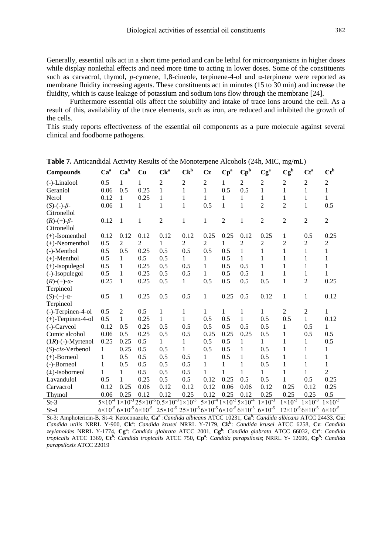Generally, essential oils act in a short time period and can be lethal for microorganisms in higher doses while display nonlethal effects and need more time to acting in lower doses. Some of the constituents such as carvacrol, thymol, *p*-cymene, 1,8-cineole, terpinene-4-ol and α-terpinene were reported as membrane fluidity increasing agents. These constituents act in minutes (15 to 30 min) and increase the fluidity, which is cause leakage of potassium and sodium ions flow through the membrane [24].

Furthermore essential oils affect the solubility and intake of trace ions around the cell. As a result of this, availability of the trace elements, such as iron, are reduced and inhibited the growth of the cells.

This study reports effectiveness of the essential oil components as a pure molecule against several clinical and foodborne pathogens.

| Compounds                | Ca <sup>a</sup>                                    | Ca <sup>b</sup> | Cu             | $Ck^a$                                                                                                  | $Ck^b$         | Cz             | $Cp^a$                                                   | $\mathbf{Cp}^{\mathrm{b}}$ | Cg <sup>a</sup>    | $Cg^b$                               | $Ct^a$             | $\mathbf{C} \mathbf{t}^{\mathbf{b}}$ |
|--------------------------|----------------------------------------------------|-----------------|----------------|---------------------------------------------------------------------------------------------------------|----------------|----------------|----------------------------------------------------------|----------------------------|--------------------|--------------------------------------|--------------------|--------------------------------------|
| $(-)$ -Linalool          | 0.5                                                | 1               | 1              | $\overline{2}$                                                                                          | $\mathbf{2}$   | $\overline{2}$ | 1                                                        | 2                          | $\overline{c}$     | $\mathfrak{2}$                       | $\overline{2}$     | $\overline{c}$                       |
| Geraniol                 | 0.06                                               | 0.5             | 0.25           | 1                                                                                                       | 1              | 1              | 0.5                                                      | 0.5                        | 1                  | 1                                    | 1                  | 1                                    |
| Nerol                    | 0.12                                               | 1               | 0.25           | 1                                                                                                       | 1              | 1              | 1                                                        | 1                          | 1                  | 1                                    | 1                  | 1                                    |
| $(S)$ -(-)- $\beta$ -    | 0.06                                               | 1               | 1              | 1                                                                                                       | 1              | 0.5            | $\mathbf{1}$                                             | 1                          | $\overline{2}$     | $\overline{2}$                       | $\mathbf{1}$       | 0.5                                  |
| Citronellol              |                                                    |                 |                |                                                                                                         |                |                |                                                          |                            |                    |                                      |                    |                                      |
| $(R)-(+)$ - $\beta$ -    | 0.12                                               | 1               | 1              | $\overline{2}$                                                                                          | $\mathbf{1}$   | $\mathbf{1}$   | $\overline{2}$                                           | 1                          | $\overline{c}$     | $\overline{2}$                       | $\overline{2}$     | $\overline{2}$                       |
| Citronellol              |                                                    |                 |                |                                                                                                         |                |                |                                                          |                            |                    |                                      |                    |                                      |
| $(+)$ -Isomenthol        | 0.12                                               | 0.12            | 0.12           | 0.12                                                                                                    | 0.12           | 0.25           | 0.25                                                     | 0.12                       | 0.25               | 1                                    | 0.5                | 0.25                                 |
| $(+)$ -Neomenthol        | 0.5                                                | 2               | $\overline{2}$ | 1                                                                                                       | $\overline{2}$ | $\overline{c}$ | 1                                                        | 2                          | $\overline{c}$     | $\overline{c}$                       | 2                  | $\overline{c}$                       |
| (-)-Menthol              | 0.5                                                | 0.5             | 0.25           | 0.5                                                                                                     | 0.5            | 0.5            | 0.5                                                      | $\mathbf{1}$               | 1                  | 1                                    | 1                  | 1                                    |
| $(+)$ -Menthol           | 0.5                                                | 1               | 0.5            | 0.5                                                                                                     | 1              | 1              | 0.5                                                      | 1                          | 1                  | 1                                    | 1                  | 1                                    |
| $(+)$ -Isopulegol        | 0.5                                                | 1               | 0.25           | 0.5                                                                                                     | 0.5            | 1              | 0.5                                                      | 0.5                        | $\mathbf{1}$       | 1                                    | 1                  | 1                                    |
| (-)-Isopulegol           | 0.5                                                | $\mathbf{1}$    | 0.25           | 0.5                                                                                                     | 0.5            | 1              | 0.5                                                      | 0.5                        | 1                  | 1                                    | 1                  | 1                                    |
| $(R)-(+)$ - $\alpha$ -   | 0.25                                               | 1               | 0.25           | 0.5                                                                                                     | 1              | 0.5            | 0.5                                                      | 0.5                        | 0.5                | $\mathbf{1}$                         | $\overline{2}$     | 0.25                                 |
| Terpineol                |                                                    |                 |                |                                                                                                         |                |                |                                                          |                            |                    |                                      |                    |                                      |
| $(S)-(-)$ - $\alpha$ -   | 0.5                                                | 1               | 0.25           | 0.5                                                                                                     | 0.5            | $\mathbf{1}$   | 0.25                                                     | 0.5                        | 0.12               | $\mathbf{1}$                         | $\mathbf{1}$       | 0.12                                 |
| Terpineol                |                                                    |                 |                |                                                                                                         |                |                |                                                          |                            |                    |                                      |                    |                                      |
| (-)-Terpinen-4-ol        | 0.5                                                | $\overline{2}$  | 0.5            | 1                                                                                                       | $\mathbf{1}$   | 1              | 1                                                        | 1                          | 1                  | $\overline{2}$                       | $\overline{2}$     | 1                                    |
| $(+)$ -Terpinen-4-ol     | 0.5                                                | 1               | 0.25           | 1                                                                                                       | 1              | 0.5            | 0.5                                                      | 1                          | 0.5                | 0.5                                  | 1                  | 0.12                                 |
| (-)-Carveol              | 0.12                                               | 0.5             | 0.25           | 0.5                                                                                                     | 0.5            | 0.5            | 0.5                                                      | 0.5                        | 0.5                | 1                                    | 0.5                | 1                                    |
| Cumic alcohol            | 0.06                                               | 0.5             | 0.25           | 0.5                                                                                                     | 0.5            | 0.25           | 0.25                                                     | 0.25                       | 0.5                | 1                                    | 0.5                | 0.5                                  |
| $(1R)$ - $(-)$ -Myrtenol | 0.25                                               | 0.25            | 0.5            | 1                                                                                                       | 1              | 0.5            | 0.5                                                      | 1                          | 1                  | 1                                    | 1                  | 0.5                                  |
| $(S)$ -cis-Verbenol      | 1                                                  | 0.25            | 0.5            | 0.5                                                                                                     | 1              | 0.5            | 0.5                                                      | 1                          | 0.5                | 1                                    | 1                  | 1                                    |
| $(+)$ -Borneol           | 1                                                  | 0.5             | 0.5            | 0.5                                                                                                     | 0.5            | $\mathbf{1}$   | 0.5                                                      | 1                          | 0.5                | 1                                    | 1                  | $\mathbf{1}$                         |
| $(-)$ -Borneol           | 1                                                  | 0.5             | 0.5            | 0.5                                                                                                     | 0.5            | 1              | 1                                                        | 1                          | 0.5                | 1                                    | 1                  | 1                                    |
| $(\pm)$ -Isoborneol      | 1                                                  | 1               | 0.5            | 0.5                                                                                                     | 0.5            | 1              | 1                                                        | 1                          | 1                  | 1                                    | 1                  | $\overline{2}$                       |
| Lavandulol               | 0.5                                                | 1               | 0.25           | 0.5                                                                                                     | 0.5            | 0.12           | 0.25                                                     | 0.5                        | 0.5                | 1                                    | 0.5                | 0.25                                 |
| Carvacrol                | 0.12                                               | 0.25            | 0.06           | 0.12                                                                                                    | 0.12           | 0.12           | 0.06                                                     | 0.06                       | 0.12               | 0.25                                 | 0.12               | 0.25                                 |
| Thymol                   | 0.06                                               | 0.25            | 0.12           | 0.12                                                                                                    | 0.25           | 0.12           | 0.25                                                     | 0.12                       | 0.25               | 0.25                                 | 0.25               | 0.5                                  |
| $St-3$                   |                                                    |                 |                | $5\times10^{-4}$ 1×10 <sup>-3</sup> 25×10 <sup>-5</sup> 0.5×10 <sup>-3</sup> 1×10 <sup>-3</sup>         |                |                | $5 \times 10^{-4}$ 1×10 <sup>-3</sup> 5×10 <sup>-4</sup> |                            | $1 \times 10^{-3}$ | $1 \times 10^{-3}$                   | $1 \times 10^{-3}$ | $1 \times 10^{-3}$                   |
| $St-4$                   | $6\times10^{-5}$ $6\times10^{-5}$ $6\times10^{-5}$ |                 |                | $25\times10^{-5}$ $25\times10^{-5}$ $6\times10^{-5}$ $6\times10^{-5}$ $6\times10^{-5}$ $6\times10^{-5}$ |                |                |                                                          |                            |                    | $12\times10^{-5}$ 6×10 <sup>-5</sup> |                    | $6 \times 10^{-5}$                   |

**Table 7.** Anticandidal Activity Results of the Monoterpene Alcohols (24h, MIC, mg/mL)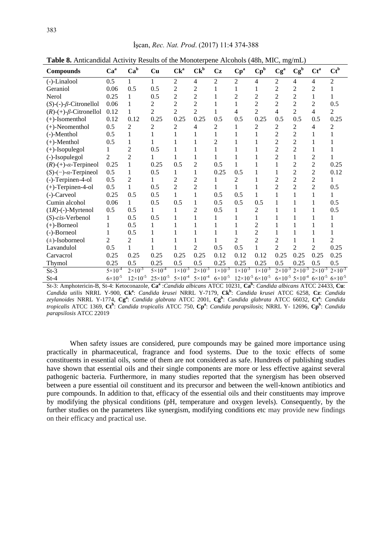| <b>Labre 0.</b> Thirding the term of the monoterpene Theonois (Foll, MIC, $\lim_{\epsilon \to 0}$ |                    |                     |                     |                    |                                       |                  |                                                                                                                         |                            |                          |                |                |                                                                     |
|---------------------------------------------------------------------------------------------------|--------------------|---------------------|---------------------|--------------------|---------------------------------------|------------------|-------------------------------------------------------------------------------------------------------------------------|----------------------------|--------------------------|----------------|----------------|---------------------------------------------------------------------|
| Compounds                                                                                         | Ca <sup>a</sup>    | $Ca^b$              | Cu                  | $Ck^a$             | $Ck^b$                                | Cz               | $Cp^a$                                                                                                                  | $\mathbf{Cp}^{\mathrm{b}}$ | Cg <sup>a</sup>          | $Cg^b$         | $Ct^a$         | $Ct^b$                                                              |
| (-)-Linalool                                                                                      | 0.5                | 1                   | 1                   | $\overline{2}$     | $\overline{4}$                        | $\overline{2}$   | $\overline{2}$                                                                                                          | 4                          | $\overline{2}$           | 4              | 4              | $\overline{2}$                                                      |
| Geraniol                                                                                          | 0.06               | 0.5                 | 0.5                 | 2                  | $\overline{2}$                        |                  | 1                                                                                                                       |                            | $\overline{c}$           | $\overline{2}$ | 2              |                                                                     |
| Nerol                                                                                             | 0.25               | 1                   | 0.5                 | 2                  | $\overline{c}$                        |                  | $\overline{2}$                                                                                                          | $\overline{c}$             | $\overline{2}$           | $\overline{2}$ | 1              |                                                                     |
| $(S)$ -(-)- $\beta$ -Citronellol                                                                  | 0.06               | 1                   | 2                   | $\overline{c}$     | $\overline{c}$                        |                  | 1                                                                                                                       | $\overline{2}$             | $\overline{c}$           | $\overline{c}$ | $\overline{c}$ | 0.5                                                                 |
| $(R)-(+)$ - $\beta$ -Citronellol                                                                  | 0.12               | 1                   | 2                   | $\overline{c}$     | $\overline{2}$                        |                  | 4                                                                                                                       | $\overline{c}$             | 4                        | $\overline{2}$ | 4              | $\overline{2}$                                                      |
| $(+)$ -Isomenthol                                                                                 | 0.12               | 0.12                | 0.25                | 0.25               | 0.25                                  | 0.5              | 0.5                                                                                                                     | 0.25                       | 0.5                      | 0.5            | 0.5            | 0.25                                                                |
| $(+)$ -Neomenthol                                                                                 | 0.5                | $\overline{2}$      | $\overline{2}$      | 2                  | 4                                     | 2                |                                                                                                                         | 2                          | $\overline{c}$           | 2              | 4              | 2                                                                   |
| (-)-Menthol                                                                                       | 0.5                |                     |                     |                    |                                       |                  |                                                                                                                         |                            | $\overline{2}$           | $\overline{2}$ |                |                                                                     |
| $(+)$ -Menthol                                                                                    | 0.5                | 1                   |                     |                    |                                       | $\overline{c}$   |                                                                                                                         |                            | $\overline{2}$           | $\overline{2}$ |                |                                                                     |
| $(+)$ -Isopulegol                                                                                 | 1                  | $\overline{c}$      | 0.5                 |                    |                                       |                  |                                                                                                                         |                            | $\overline{2}$           | $\overline{2}$ |                |                                                                     |
| (-)-Isopulegol                                                                                    | 2                  | $\overline{c}$      |                     |                    |                                       |                  |                                                                                                                         |                            | $\overline{c}$           |                | 2              |                                                                     |
| $(R)-(+)$ - $\alpha$ -Terpineol                                                                   | 0.25               |                     | 0.25                | 0.5                | $\overline{2}$                        | 0.5              | 1                                                                                                                       |                            |                          | $\overline{2}$ | $\overline{2}$ | 0.25                                                                |
| $(S)-(-)-\alpha$ -Terpineol                                                                       | 0.5                |                     | 0.5                 | 1                  | 1                                     | 0.25             | 0.5                                                                                                                     |                            |                          | 2              | $\overline{c}$ | 0.12                                                                |
| (-)-Terpinen-4-ol                                                                                 | 0.5                | 2                   |                     | $\overline{c}$     | $\overline{c}$                        |                  | 2                                                                                                                       |                            | $\overline{2}$           | $\overline{2}$ | $\overline{2}$ |                                                                     |
| $(+)$ -Terpinen-4-ol                                                                              | 0.5                | 1                   | 0.5                 | $\overline{c}$     | $\overline{2}$                        |                  |                                                                                                                         |                            | $\overline{2}$           | $\overline{2}$ | $\overline{2}$ | 0.5                                                                 |
| (-)-Carveol                                                                                       | 0.25               | 0.5                 | 0.5                 | 1                  | 1                                     | 0.5              | 0.5                                                                                                                     | 1                          |                          |                | 1              |                                                                     |
| Cumin alcohol                                                                                     | 0.06               | 1                   | 0.5                 | 0.5                | 1                                     | 0.5              | 0.5                                                                                                                     | 0.5                        |                          |                |                | 0.5                                                                 |
| $(1R)$ -(-)-Myrtenol                                                                              | 0.5                | 0.5                 |                     |                    | $\overline{2}$                        | 0.5              |                                                                                                                         | 2                          |                          |                |                | 0.5                                                                 |
| $(S)$ -cis-Verbenol                                                                               | 1                  | 0.5                 | 0.5                 |                    | 1                                     |                  |                                                                                                                         |                            |                          |                |                |                                                                     |
| $(+)$ -Borneol                                                                                    |                    | 0.5                 | 1                   |                    |                                       |                  |                                                                                                                         | 2                          |                          |                |                |                                                                     |
| (-)-Borneol                                                                                       |                    | 0.5                 | 1                   |                    |                                       |                  |                                                                                                                         | $\overline{2}$             |                          |                | 1              |                                                                     |
| $(\pm)$ -Isoborneol                                                                               | 2                  | 2                   |                     |                    |                                       |                  | $\overline{2}$                                                                                                          | $\overline{2}$             | $\overline{c}$           |                | 1              | 2                                                                   |
| Lavandulol                                                                                        | 0.5                |                     |                     |                    | $\overline{c}$                        | 0.5              | 0.5                                                                                                                     |                            | $\overline{\mathcal{L}}$ | $\overline{2}$ | $\overline{2}$ | 0.25                                                                |
| Carvacrol                                                                                         | 0.25               | 0.25                | 0.25                | 0.25               | 0.25                                  | 0.12             | 0.12                                                                                                                    | 0.12                       | 0.25                     | 0.25           | 0.25           | 0.25                                                                |
| Thymol                                                                                            | 0.25               | 0.5                 | 0.25                | 0.5                | 0.5                                   | 0.25             | 0.25                                                                                                                    | 0.25                       | 0.5                      | 0.25           | 0.5            | 0.5                                                                 |
| $St-3$                                                                                            | $5 \times 10^{-4}$ | $2 \times 10^{-3}$  | $5 \times 10^{-4}$  | $1 \times 10^{-3}$ | $2 \times 10^{-3}$                    | $1\times10^{-3}$ | $1 \times 10^{-3}$                                                                                                      | $1 \times 10^{-3}$         |                          |                |                | $2\times10^{-3}$ $2\times10^{-3}$ $2\times10^{-3}$ $2\times10^{-3}$ |
| $St-4$                                                                                            | $6\times10^{-5}$   | $12 \times 10^{-5}$ | $25 \times 10^{-5}$ |                    | $5 \times 10^{-4}$ $5 \times 10^{-4}$ |                  | $6\times10^{-5}$ $12\times10^{-5}$ $6\times10^{-5}$ $6\times10^{-5}$ $5\times10^{-4}$ $6\times10^{-5}$ $6\times10^{-5}$ |                            |                          |                |                |                                                                     |

**Table 8.** Anticandidal Activity Results of the Monoterpene Alcohols (48h, MIC, mg/mL)

St-3: Amphotericin-B, St-4: Ketoconazole, **Ca<sup>a</sup>** :*Candida albicans* ATCC 10231, **Ca<sup>b</sup>** : *Candida albicans* ATCC 24433, **Cu**: *Candida utilis* NRRL Y-900, **Ck<sup>a</sup>** : *Candida krusei* NRRL Y-7179, **Ck<sup>b</sup>** : *Candida krusei* ATCC 6258, **Cz**: *Candida zeylanoides* NRRL Y-1774, **Cg<sup>a</sup>** : *Candida glabrata* ATCC 2001, **Cg<sup>b</sup>** : *Candida glabrata* ATCC 66032, **Ct<sup>a</sup>** : *Candida tropicalis* ATCC 1369, **Ct<sup>b</sup>** : *Candida tropicalis* ATCC 750, **Cp<sup>a</sup>** : *Candida parapsilosis*; NRRL Y- 12696, **Cp<sup>b</sup>** : *Candida parapsilosis* ATCC 22019

When safety issues are considered, pure compounds may be gained more importance using practically in pharmaceutical, fragrance and food systems. Due to the toxic effects of some constituents in essential oils, some of them are not considered as safe. Hundreds of publishing studies have shown that essential oils and their single components are more or less effective against several pathogenic bacteria. Furthermore, in many studies reported that the synergism has been observed between a pure essential oil constituent and its precursor and between the well-known antibiotics and pure compounds. In addition to that, efficacy of the essential oils and their constituents may improve by modifying the physical conditions (pH, temperature and oxygen levels). Consequently, by the further studies on the parameters like synergism, modifying conditions etc may provide new findings on their efficacy and practical use.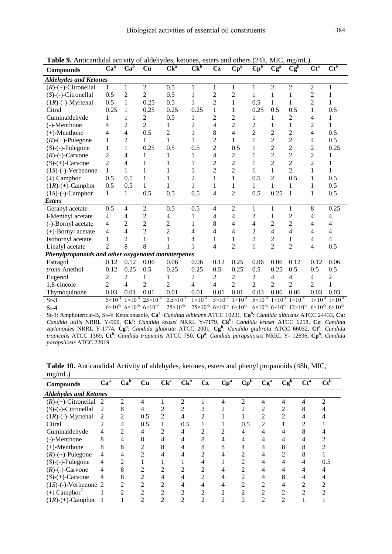| <b>Compounds</b>                                   | Ca <sup>a</sup>    | Ca <sup>b</sup>                                          | Cu                  | $\overline{\text{Ck}^{\text{a}}}$ | Ck <sub>p</sub>    | Cz                 | $\overline{\mathbf{Cp}^{\mathbf{a}}}$ | $\mathbf{Cp}^{\mathbf{b}}$ | Cg <sup>a</sup>    | $Cg^b$                                                                                                                                                  | $\overline{\text{Ct}^{\text{a}}}$ | $\overline{\text{Ct}}^{\text{b}}$ |
|----------------------------------------------------|--------------------|----------------------------------------------------------|---------------------|-----------------------------------|--------------------|--------------------|---------------------------------------|----------------------------|--------------------|---------------------------------------------------------------------------------------------------------------------------------------------------------|-----------------------------------|-----------------------------------|
| <b>Aldehydes and Ketones</b>                       |                    |                                                          |                     |                                   |                    |                    |                                       |                            |                    |                                                                                                                                                         |                                   |                                   |
| $(R)-(+)$ -Citronellal                             | 1                  | $\mathbf{1}$                                             | $\overline{2}$      | 0.5                               | $\mathbf{1}$       | 1                  | 1                                     | 1                          | $\overline{2}$     | $\overline{c}$                                                                                                                                          | $\overline{2}$                    | 1                                 |
| $(S)$ - $(-)$ -Citronellal                         | 0.5                | $\overline{c}$                                           | $\overline{2}$      | 0.5                               | 1                  | $\overline{c}$     | $\overline{2}$                        | 1                          | $\mathbf{1}$       | 1                                                                                                                                                       | $\overline{c}$                    | 1                                 |
| $(1R)$ -(-)-Myrtenal                               | 0.5                | $\mathbf{1}$                                             | 0.25                | 0.5                               | 1                  | $\overline{c}$     | 1                                     | 0.5                        | $\mathbf{1}$       | 1                                                                                                                                                       | $\overline{c}$                    | 1                                 |
| Citral                                             | 0.25               | $\mathbf{1}$                                             | 0.25                | 0.25                              | 0.25               | $\mathbf{1}$       | 1                                     | 0.25                       | 0.5                | 0.5                                                                                                                                                     | 1                                 | 0.5                               |
| Cuminaldehyde                                      | 1                  | $\mathbf{1}$                                             | 2                   | 0.5                               | 1                  | $\overline{c}$     | $\overline{c}$                        | 1                          | 1                  | $\overline{c}$                                                                                                                                          | $\overline{4}$                    | 1                                 |
| (-)-Menthone                                       | 4                  | $\overline{2}$                                           | $\overline{2}$      | 1                                 | 2                  | 4                  | $\overline{c}$                        | $\overline{c}$             | 1                  | 1                                                                                                                                                       | $\overline{c}$                    | 1                                 |
| $(+)$ -Menthone                                    | 4                  | 4                                                        | 0.5                 | 2                                 | 1                  | 8                  | 4                                     | $\overline{2}$             | $\overline{2}$     | $\overline{c}$                                                                                                                                          | 4                                 | 0.5                               |
| $(R)-(+)$ -Pulegone                                | 1                  | $\overline{2}$                                           | 1                   | 1                                 | 1                  | $\overline{c}$     | $\mathbf{1}$                          | 1                          | $\overline{2}$     | $\overline{c}$                                                                                                                                          | 4                                 | 0.5                               |
| $(S)$ -(-)-Pulegone                                | 1                  | $\mathbf{1}$                                             | 0.25                | 0.5                               | 0.5                | $\overline{c}$     | 0.5                                   | 1                          | $\overline{2}$     | $\overline{2}$                                                                                                                                          | 2                                 | 0.25                              |
| $(R)$ -(-)-Carvone                                 | $\overline{2}$     | 4                                                        | 1                   | 1                                 | 1                  | 4                  | $\mathfrak{2}$                        | 1                          | $\overline{2}$     | $\overline{c}$                                                                                                                                          | $\overline{c}$                    | 1                                 |
| $(S)-(+)$ -Carvone                                 | $\overline{2}$     | 4                                                        | 1                   | 1                                 | 1                  | $\overline{c}$     | $\overline{c}$                        | 1                          | $\overline{2}$     | $\overline{c}$                                                                                                                                          | $\overline{c}$                    | 1                                 |
| $(1S)$ -(-)-Verbenone                              | $\mathbf{1}$       | $\mathbf{1}$                                             | 1                   | 1                                 | 1                  | $\overline{c}$     | $\overline{2}$                        | 1                          | $\mathbf{1}$       | $\overline{2}$                                                                                                                                          | $\mathbf{1}$                      | 1                                 |
| $(\pm)$ Camphor                                    | 0.5                | 0.5                                                      | 1                   |                                   | $\overline{2}$     | 1                  | 1                                     | 0.5                        | $\overline{2}$     | 0.5                                                                                                                                                     | 1                                 | 0.5                               |
| $(1R)-(+)$ -Camphor                                | 0.5                | 0.5                                                      | 1                   | 1                                 | 1                  | $\mathbf{1}$       | $\mathbf{1}$                          | 1                          | $\mathbf{1}$       | 1                                                                                                                                                       | 1                                 | 0.5                               |
| $(1S)$ -(-)-Camphor                                | 1                  | $\mathbf{1}$                                             | 0.5                 | 0.5                               | 0.5                | 4                  | $\overline{2}$                        | 0.5                        | 0.25               | $\mathbf{1}$                                                                                                                                            | $\mathbf{1}$                      | 0.5                               |
| <i><b>Esters</b></i>                               |                    |                                                          |                     |                                   |                    |                    |                                       |                            |                    |                                                                                                                                                         |                                   |                                   |
| Geranyl acetate                                    | 0.5                | $\overline{4}$                                           | $\overline{c}$      | 0.5                               | 0.5                | 4                  | $\overline{2}$                        | 1                          | $\mathbf{1}$       | 1                                                                                                                                                       | 8                                 | 0.25                              |
| l-Menthyl acetate                                  | 4                  | 4                                                        | $\overline{c}$      | 4                                 | 1                  | 4                  | 4                                     | $\overline{c}$             | $\mathbf{1}$       | $\overline{c}$                                                                                                                                          | 4                                 | $\overline{4}$                    |
| (-)-Bornyl acetate                                 | $\overline{4}$     | $\overline{c}$                                           | $\overline{2}$      | 2                                 | 1                  | 8                  | 4                                     | $\overline{4}$             | $\overline{2}$     | $\overline{2}$                                                                                                                                          | 4                                 | 4                                 |
| $(+)$ -Bornyl acetate                              | 4                  | 4                                                        | $\overline{2}$      | $\overline{c}$                    | 4                  | 4                  | 4                                     | $\overline{2}$             | 4                  | 4                                                                                                                                                       | 4                                 | 4                                 |
| Isobornyl acetate                                  | 1                  | $\overline{2}$                                           | 1                   | 1                                 | 4                  | 1                  | 1                                     | $\overline{c}$             | $\overline{c}$     | 1                                                                                                                                                       | 4                                 | $\overline{4}$                    |
| Linalyl acetate                                    | $\mathfrak{D}$     | 8                                                        | 8                   | 1                                 | 1                  | 4                  | $\overline{2}$                        | $\mathbf{1}$               | $\overline{2}$     | $\overline{2}$                                                                                                                                          | $\overline{4}$                    | 0.5                               |
| Phenylpropanoids and other oxygenated monoterpenes |                    |                                                          |                     |                                   |                    |                    |                                       |                            |                    |                                                                                                                                                         |                                   |                                   |
| Estragol                                           | 0.12               | 0.12                                                     | 0.06                | 0.06                              | 0.06               | 0.12               | 0.25                                  | 0.06                       | 0.06               | 0.12                                                                                                                                                    | 0.12                              | 0.06                              |
| trans-Anethol                                      | 0.12               | 0.25                                                     | 0.5                 | 0.25                              | 0.25               | 0.5                | 0.25                                  | 0.5                        | 0.25               | 0.5                                                                                                                                                     | 0.5                               | 0.5                               |
| Eugenol                                            | 2                  | $\overline{c}$                                           | 1                   | 1                                 | 2                  | $\overline{c}$     | 2                                     | $\overline{c}$             | 4                  | 4                                                                                                                                                       | 4                                 | $\overline{2}$                    |
| 1,8-cineole                                        | $\overline{c}$     | $\overline{4}$                                           | $\overline{2}$      | $\overline{2}$                    | 4                  | 4                  | $\overline{2}$                        | $\overline{2}$             | $\overline{2}$     | $\overline{2}$                                                                                                                                          | 2                                 | $\mathbf{1}$                      |
| Thymoquinone                                       | 0.03               | 0.01                                                     | 0.01                | 0.01                              | 0.01               | 0.01               | 0.01                                  | 0.03                       | 0.06               | 0.06                                                                                                                                                    | 0.03                              | 0.03                              |
| $St-3$                                             | $5 \times 10^{-4}$ | $1 \times 10^{-3}$                                       | $25 \times 10^{-5}$ | $0.5 \times 10^{-3}$              | $1 \times 10^{-3}$ | $5 \times 10^{-4}$ | $1 \times 10^{-3}$                    | $5 \times 10^{-4}$         | $1 \times 10^{-3}$ | $1 \times 10^{-3}$                                                                                                                                      | $1 \times 10^{-3}$                | $1 \times 10^{-3}$                |
| $St-4$                                             |                    | $6 \times 10^{-5}$ $6 \times 10^{-5}$ $6 \times 10^{-5}$ |                     | $25\times10^{-5}$                 |                    |                    |                                       |                            |                    | $25\times10^{-5}$ 6×10 <sup>-5</sup> 6×10 <sup>-5</sup> 6×10 <sup>-5</sup> 6×10 <sup>-5</sup> 12×10 <sup>-5</sup> 6×10 <sup>-5</sup> 6×10 <sup>-5</sup> |                                   |                                   |

**Table 9.** Anticandidal activity of aldehydes, ketones, esters and others (24h, MIC, mg/mL)

| $mg/m\nu$                    |                 |                 |                |        |                |    |        |                            |                 |        |        |                                      |
|------------------------------|-----------------|-----------------|----------------|--------|----------------|----|--------|----------------------------|-----------------|--------|--------|--------------------------------------|
| <b>Compounds</b>             | Ca <sup>a</sup> | Ca <sup>b</sup> | Cu             | $Ck^a$ | $Ck^b$         | Cz | $Cp^a$ | $\mathbf{Cp}^{\mathbf{b}}$ | Cg <sup>a</sup> | $Cg^b$ | $Ct^a$ | $\mathbf{C} \mathbf{t}^{\mathbf{b}}$ |
| <b>Aldehydes and Ketones</b> |                 |                 |                |        |                |    |        |                            |                 |        |        |                                      |
| $(R)-(+)$ -Citronellal       | -2              | 2               | 4              |        | ↑              |    |        | $\mathfrak{D}$             |                 | 4      |        | ി                                    |
| $(S)$ - $(-)$ -Citronellal   | 2               | 8               | 4              |        | $\overline{c}$ |    | っ      | ↑                          | っ               | っ      |        |                                      |
| $(1R)-(-)$ -Myrtenal         | 2               | 2               | 0.5            | 2      | 4              | 2  |        |                            |                 |        |        |                                      |
| Citral                       | 2               | 4               | 0.5            |        | 0.5            |    |        | 0.5                        | 2               |        |        |                                      |
| Cuminaldehyde                | 4               |                 | 4              |        | 4              | っ  |        | 4                          |                 |        |        |                                      |
| (-)-Menthone                 | 8               |                 | 8              |        |                | 8  |        |                            |                 |        |        |                                      |
| $(+)$ -Menthone              | 8               | 8               | ↑              |        |                |    | 8      |                            |                 | 8      |        |                                      |
| $(R)-(+)$ -Pulegone          | 4               |                 | っ              |        | 4              | າ  |        | ∍                          |                 | ↑      | x      |                                      |
| $(S)$ - $(-)$ -Pulegone      | 4               | $\overline{2}$  |                |        |                | 4  |        | 2                          | 4               | 4      | 4      | 0.5                                  |
| $(R)$ -(-)-Carvone           | 4               | 8               |                |        |                | 2  |        | ↑                          |                 |        |        |                                      |
| $(S)-(+)$ -Carvone           | 4               | 8               | ∍              |        | 4              | C  |        | ↑                          |                 | 8      |        |                                      |
| $(1S)$ -(-)-Verbenone 2      |                 | $\overline{c}$  | $\overline{2}$ |        |                |    |        | ↑                          |                 |        |        |                                      |
| $(\pm)$ Camphor <sup>2</sup> |                 | $\mathfrak{D}$  | $\overline{c}$ |        | ∍              | ↑  | っ      | $\gamma$                   |                 |        |        |                                      |
| $(1R)-(+)$ -Camphor          |                 |                 | $\mathfrak{D}$ | 2      | ↑              | ↑  | ↑      | ◠                          | ◠               |        |        |                                      |
|                              |                 |                 |                |        |                |    |        |                            |                 |        |        |                                      |

**Table 10.** Anticandidal Activity of aldehydes, ketones, esters and phenyl propanoids (48h, MIC,  $m\sigma/mL$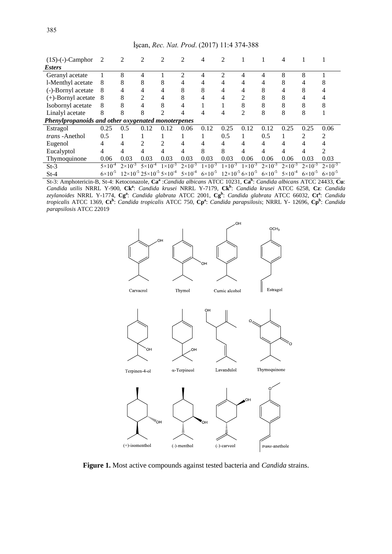| $(1S)$ - $(-)$ -Camphor                            | 2                  | 2                  | 2                                                    | $\mathfrak{D}$     | $\mathfrak{D}$     |                    | 2                                      |                  |                    |                    |                    |                    |
|----------------------------------------------------|--------------------|--------------------|------------------------------------------------------|--------------------|--------------------|--------------------|----------------------------------------|------------------|--------------------|--------------------|--------------------|--------------------|
| <i><b>Esters</b></i>                               |                    |                    |                                                      |                    |                    |                    |                                        |                  |                    |                    |                    |                    |
| Geranyl acetate                                    |                    | 8                  | 4                                                    |                    | ↑                  |                    | っ                                      | 4                | 4                  | 8                  | 8                  |                    |
| 1-Menthyl acetate                                  | 8                  | 8                  | 8                                                    |                    |                    |                    |                                        |                  |                    | 8                  |                    |                    |
| (-)-Bornyl acetate                                 | 8                  |                    | 4                                                    | 4                  | 8                  | 8                  | 4                                      |                  | 8                  |                    |                    |                    |
| $(+)$ -Bornyl acetate                              | 8                  | 8                  | 2                                                    | 4                  | 8                  |                    | 4                                      | 2                | 8                  | 8                  |                    |                    |
| Isobornyl acetate                                  | 8                  | 8                  | 4                                                    | 8                  |                    |                    |                                        | 8                | 8                  | 8                  |                    |                    |
| Linalyl acetate                                    | 8                  | 8                  | 8                                                    |                    |                    |                    |                                        | ↑                | 8                  | 8                  | 8                  |                    |
| Phenylpropanoids and other oxygenated monoterpenes |                    |                    |                                                      |                    |                    |                    |                                        |                  |                    |                    |                    |                    |
| Estragol                                           | 0.25               | 0.5                | 0.12                                                 | 0.12               | 0.06               | 0.12               | 0.25                                   | 0.12             | 0.12               | 0.25               | 0.25               | 0.06               |
| <i>trans</i> - Anethol                             | 0.5                |                    |                                                      |                    |                    |                    | 0.5                                    |                  | 0.5                |                    | $\mathfrak{D}$     | $\mathfrak{D}$     |
| Eugenol                                            | 4                  | 4                  | 2                                                    |                    | 4                  | 4                  | 4                                      |                  | 4                  |                    |                    |                    |
| Eucalyptol                                         | 4                  | 4                  |                                                      |                    |                    | 8                  | 8                                      |                  | 4                  |                    | 4                  |                    |
| Thymoquinone                                       | 0.06               | 0.03               | 0.03                                                 | 0.03               | 0.03               | 0.03               | 0.03                                   | 0.06             | 0.06               | 0.06               | 0.03               | 0.03               |
| $St-3$                                             | $5 \times 10^{-4}$ | $2 \times 10^{-3}$ | $5 \times 10^{-4}$                                   | $1 \times 10^{-3}$ | $2 \times 10^{-3}$ | $1 \times 10^{-3}$ | $1 \times 10^{-3}$                     | $1\times10^{-3}$ | $2 \times 10^{-3}$ | $2 \times 10^{-3}$ | $2 \times 10^{-3}$ | $2 \times 10^{-3}$ |
| $St-4$                                             | $6 \times 10^{-5}$ |                    | $12\times10^{-5}$ $25\times10^{-5}$ $5\times10^{-4}$ |                    | $5 \times 10^{-4}$ | $6 \times 10^{-5}$ | $12\times10^{-5}$ 6 × 10 <sup>-5</sup> |                  | $6 \times 10^{-5}$ | $5 \times 10^{-4}$ | $6 \times 10^{-5}$ | $6 \times 10^{-5}$ |



**Figure 1.** Most active compounds against tested bacteria and *Candida* strains.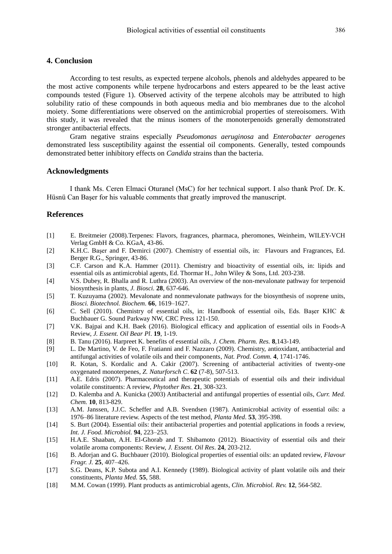## **4. Conclusion**

According to test results, as expected terpene alcohols, phenols and aldehydes appeared to be the most active components while terpene hydrocarbons and esters appeared to be the least active compounds tested (Figure 1). Observed activity of the terpene alcohols may be attributed to high solubility ratio of these compounds in both aqueous media and bio membranes due to the alcohol moiety. Some differentiations were observed on the antimicrobial properties of stereoisomers. With this study, it was revealed that the minus isomers of the monoterpenoids generally demonstrated stronger antibacterial effects.

Gram negative strains especially *Pseudomonas aeruginosa* and *Enterobacter aerogenes* demonstrated less susceptibility against the essential oil components. Generally, tested compounds demonstrated better inhibitory effects on *Candida* strains than the bacteria.

## **Acknowledgments**

I thank Ms. Ceren Elmaci Oturanel (MsC) for her technical support. I also thank Prof. Dr. K. Hüsnü Can Başer for his valuable comments that greatly improved the manuscript.

## **References**

- [1] E. Breitmeier (2008).Terpenes: Flavors, fragrances, pharmaca, pheromones, Weinheim, WILEY-VCH Verlag GmbH & Co. KGaA, 43-86.
- [2] K.H.C. Başer and F. Demirci (2007). Chemistry of essential oils, in: Flavours and Fragrances, Ed. Berger R.G., Springer, 43-86.
- [3] C.F. Carson and K.A. Hammer (2011). Chemistry and bioactivity of essential oils, in: lipids and essential oils as antimicrobial agents, Ed. Thormar H., John Wiley & Sons, Ltd. 203-238.
- [4] V.S. Dubey, R. Bhalla and R. Luthra (2003). An overview of the non-mevalonate pathway for terpenoid biosynthesis in plants, *J. Biosci.* **28**, 637-646.
- [5] T. Kuzuyama (2002). Mevalonate and nonmevalonate pathways for the biosynthesis of ısoprene units, *Biosci. Biotechnol. Biochem.* **66**, 1619–1627.
- [6] C. Sell (2010). Chemistry of essential oils, in: Handbook of essential oils, Eds. Başer KHC & Buchbauer G. Sound Parkway NW, CRC Press 121-150.
- [7] V.K. Bajpai and K.H. Baek (2016). Biological efficacy and application of essential oils in Foods-A Review, *J. Essent. Oil Bear Pl*. **19**, 1-19.
- [8] B. Tanu (2016). Harpreet K. benefits of essential oils, *J. Chem. Pharm. Res.* **8**,143-149.
- [9] L. De Martino, V. de Feo, F. Fratianni and F. Nazzaro (2009). Chemistry, antioxidant, antibacterial and antifungal activities of volatile oils and their components, *Nat. Prod. Comm.* **4**, 1741-1746.
- [10] R. Kotan, S. Kordalic and A. Cakir (2007). Screening of antibacterial activities of twenty-one oxygenated monoterpenes, *Z. Naturforsch C*. **62** (7-8), 507-513.
- [11] A.E. Edris (2007). Pharmaceutical and therapeutic potentials of essential oils and their individual volatile constituents: A review, *Phytother Res*. **21**, 308-323.
- [12] D. Kalemba and A. Kunicka (2003) Antibacterial and antifungal properties of essential oils, *Curr. Med. Chem.* **10**, 813-829.
- [13] A.M. Janssen, J.J.C. Scheffer and A.B. Svendsen (1987). Antimicrobial activity of essential oils: a 1976–86 literature review. Aspects of the test method, *Planta Med*. **53**, 395-398.
- [14] S. Burt (2004). Essential oils: their antibacterial properties and potential applications in foods a review, *Int. J. Food. Microbiol.* **94**, 223–253.
- [15] H.A.E. Shaaban, A.H. El-Ghorab and T. Shibamoto (2012). Bioactivity of essential oils and their volatile aroma components: Review, *J. Essent. Oil Res*. **24**, 203-212.
- [16] B. Adorjan and G. Buchbauer (2010). Biological properties of essential oils: an updated review, *Flavour Fragr. J.* **25**, 407–426.
- [17] S.G. Deans, K.P. Subota and A.I. Kennedy (1989). Biological activity of plant volatile oils and their constituents, *Planta Med.* **55**, 588.
- [18] M.M. Cowan (1999). Plant products as antimicrobial agents, *Clin. Microbiol. Rev.* **12**, 564-582.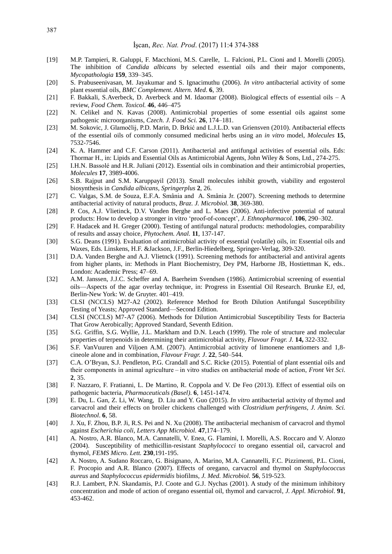- [19] M.P. Tampieri, R. Galuppi, F. Macchioni, M.S. Carelle, L. Falcioni, P.L. Cioni and I. Morelli (2005). The inhibition of *Candida albicans* by selected essential oils and their major components, *Mycopathologia* **159**, 339–345.
- [20] S. Prabuseenivasan, M. Jayakumar and S. Ignacimuthu (2006). *In vitro* antibacterial activity of some plant essential oils, *BMC Complement. Altern. Med*. **6**, 39.
- [21] F. Bakkali, S.Averbeck, D. Averbeck and M. Idaomar (2008). Biological effects of essential oils A review, *Food Chem. Toxicol.* **46**, 446–475
- [22] N. Celikel and N. Kavas (2008). Antimicrobial properties of some essential oils against some pathogenic microorganisms, *Czech. J. Food Sci.* **26**, 174–181.
- [23] M. Sokovic, J. Glamočlij, P.D. Marin, D. Brkić and L.J.L.D. van Griensven (2010). Antibacterial effects of the essential oils of commonly consumed medicinal herbs using an *in vitro* model, *Molecules* **15**, 7532-7546.
- [24] K. A. Hammer and C.F. Carson (2011). Antibacterial and antifungal activities of essential oils. Eds: Thormar H., in: Lipids and Essential Oils as Antimicrobial Agents, John Wiley & Sons, Ltd., 274-275.
- [25] I.H.N. Bassolé and H.R. Juliani (2012). Essential oils in combination and their antimicrobial properties, *Molecules* **17**, 3989-4006.
- [26] S.B. Rajput and S.M. Karuppayil (2013). Small molecules inhibit growth, viability and ergosterol biosynthesis in *Candida albicans*, *Springerplus* **2**, 26.
- [27] C. Valgas, S.M. de Souza, E.F.A. Smânia and A. Smânia Jr. (2007). Screening methods to determine antibacterial activity of natural products, *Braz. J. Microbiol.* **38**, 369-380.
- [28] P. Cos, A.J. Vlietinck, D.V. Vanden Berghe and L. Maes (2006). Anti-infective potential of natural products: How to develop a stronger in vitro 'proof-of-concept', *J. Ethnopharmacol.* **106**, 290–302.
- [29] F. Hadacek and H. Greger (2000). Testing of antifungal natural products: methodologies, comparability of results and assay choice, *Phytochem. Anal.* **11**, 137-147.
- [30] S.G. Deans (1991). Evaluation of antimicrobial activity of essential (volatile) oils, in: Essential oils and Waxes, Eds. Linskens, H.F. &Jackson, J.F., Berlin-Hiedelberg, Springer-Verlag, 309-320.
- [31] D.A. Vanden Berghe and A.J. Vlietnck (1991). Screening methods for antibacterial and antiviral agents from higher plants, in: Methods in Plant Biochemistry, Dey PM, Harborne JB, Hostiettman K, eds.. London: Academic Press; 47–69.
- [32] A.M. Janssen, J.J.C. Scheffer and A. Baerheim Svendsen (1986). Antimicrobial screening of essential oils—Aspects of the agar overlay technique, in: Progress in Essential Oil Research. Brunke EJ, ed, Berlin-New York: W. de Gruyter. 401–419.
- [33] CLSI (NCCLS) M27-A2 (2002). Reference Method for Broth Dilution Antifungal Susceptibility Testing of Yeasts; Approved Standard—Second Edition.
- [34] CLSI (NCCLS) M7-A7 (2006). Methods for Dilution Antimicrobial Susceptibility Tests for Bacteria That Grow Aerobically; Approved Standard, Seventh Edition.
- [35] S.G. Griffin, S.G. Wyllie, J.L. Markham and D.N. Leach (1999). The role of structure and molecular properties of terpenoids in determining their antimicrobial activity, *Flavour Fragr. J.* **14,** 322-332.
- [36] S.F. VanVuuren and Viljoen A.M. (2007). Antimicrobial activity of limonene enantiomers and 1,8 cineole alone and in combination, *Flavour Fragr. J*. **22**, 540–544.
- [37] C.A. O'Bryan, S.J. Pendleton, P.G. Crandall and S.C. Ricke (2015). Potential of plant essential oils and their components in animal agriculture – in vitro studies on antibacterial mode of action, *Front Vet Sci*. **2**, 35.
- [38] F. Nazzaro, F. Fratianni, L. De Martino, R. Coppola and V. De Feo (2013). Effect of essential oils on pathogenic bacteria, *Pharmaceuticals (Basel)*. **6**, 1451-1474.
- [39] E. Du, L. Gan, Z. Li, W. Wang, D. Liu and Y. Guo (2015). *In vitro* antibacterial activity of thymol and carvacrol and their effects on broiler chickens challenged with *Clostridium perfringens, J. Anim. Sci. Biotechnol*. **6**, 58.
- [40] J. Xu, F. Zhou, B.P. Ji, R.S. Pei and N. Xu (2008). The antibacterial mechanism of carvacrol and thymol against *Escherichia coli, Letters App Microbiol.* **47**,174–179.
- [41] A. Nostro, A.R. Blanco, M.A. Cannatelli, V. Enea, G. Flamini, I. Morelli, A.S. Roccaro and V. Alonzo (2004). Susceptibility of methicillin-resistant *Staphylococci* to oregano essential oil, carvacrol and thymol, *FEMS Micro. Lett.* **230**,191-195.
- [42] A. Nostro, A. Sudano Roccaro, G. Bisignano, A. Marino, M.A. Cannatelli, F.C. Pizzimenti, P.L. Cioni, F. Procopio and A.R. Blanco (2007). Effects of oregano, carvacrol and thymol on *Staphylococcus aureus* and *Staphylococcus epidermidis* biofilms, *J. Med. Microbiol.* **56**, 519-523.
- [43] R.J. Lambert, P.N. Skandamis, P.J. Coote and G.J. Nychas (2001). A study of the minimum inhibitory concentration and mode of action of oregano essential oil, thymol and carvacrol, *J. Appl. Microbiol*. **91**, 453-462.